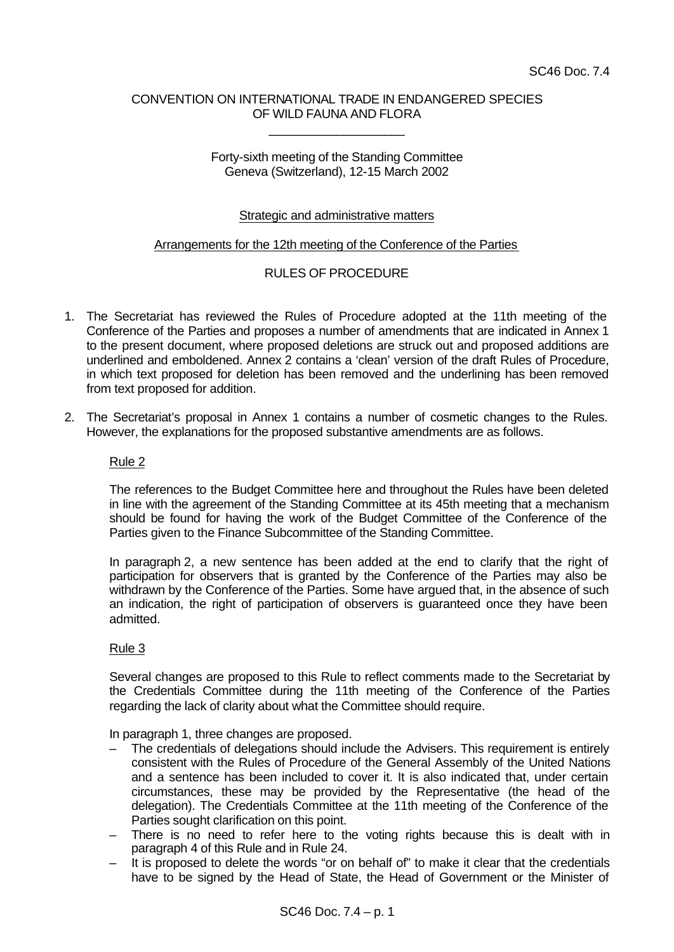# CONVENTION ON INTERNATIONAL TRADE IN ENDANGERED SPECIES OF WILD FAUNA AND FLORA

\_\_\_\_\_\_\_\_\_\_\_\_\_\_\_\_\_\_\_\_

### Forty-sixth meeting of the Standing Committee Geneva (Switzerland), 12-15 March 2002

# Strategic and administrative matters

#### Arrangements for the 12th meeting of the Conference of the Parties

# RULES OF PROCEDURE

- 1. The Secretariat has reviewed the Rules of Procedure adopted at the 11th meeting of the Conference of the Parties and proposes a number of amendments that are indicated in Annex 1 to the present document, where proposed deletions are struck out and proposed additions are underlined and emboldened. Annex 2 contains a 'clean' version of the draft Rules of Procedure, in which text proposed for deletion has been removed and the underlining has been removed from text proposed for addition.
- 2. The Secretariat's proposal in Annex 1 contains a number of cosmetic changes to the Rules. However, the explanations for the proposed substantive amendments are as follows.

#### Rule 2

The references to the Budget Committee here and throughout the Rules have been deleted in line with the agreement of the Standing Committee at its 45th meeting that a mechanism should be found for having the work of the Budget Committee of the Conference of the Parties given to the Finance Subcommittee of the Standing Committee.

In paragraph 2, a new sentence has been added at the end to clarify that the right of participation for observers that is granted by the Conference of the Parties may also be withdrawn by the Conference of the Parties. Some have argued that, in the absence of such an indication, the right of participation of observers is guaranteed once they have been admitted.

# Rule 3

Several changes are proposed to this Rule to reflect comments made to the Secretariat by the Credentials Committee during the 11th meeting of the Conference of the Parties regarding the lack of clarity about what the Committee should require.

In paragraph 1, three changes are proposed.

- The credentials of delegations should include the Advisers. This requirement is entirely consistent with the Rules of Procedure of the General Assembly of the United Nations and a sentence has been included to cover it. It is also indicated that, under certain circumstances, these may be provided by the Representative (the head of the delegation). The Credentials Committee at the 11th meeting of the Conference of the Parties sought clarification on this point.
- There is no need to refer here to the voting rights because this is dealt with in paragraph 4 of this Rule and in Rule 24.
- It is proposed to delete the words "or on behalf of" to make it clear that the credentials have to be signed by the Head of State, the Head of Government or the Minister of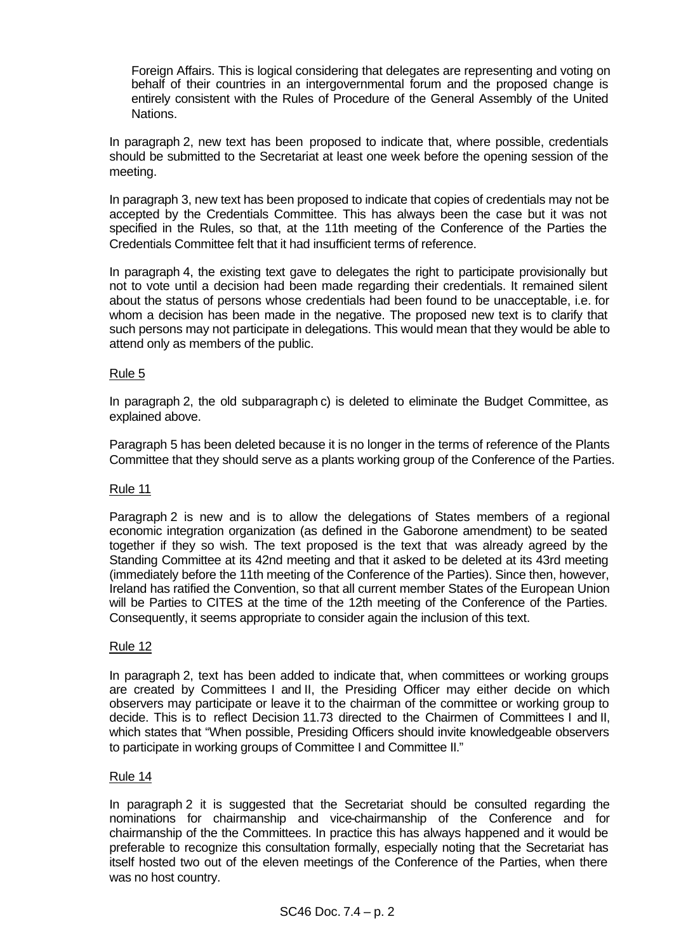Foreign Affairs. This is logical considering that delegates are representing and voting on behalf of their countries in an intergovernmental forum and the proposed change is entirely consistent with the Rules of Procedure of the General Assembly of the United Nations.

In paragraph 2, new text has been proposed to indicate that, where possible, credentials should be submitted to the Secretariat at least one week before the opening session of the meeting.

In paragraph 3, new text has been proposed to indicate that copies of credentials may not be accepted by the Credentials Committee. This has always been the case but it was not specified in the Rules, so that, at the 11th meeting of the Conference of the Parties the Credentials Committee felt that it had insufficient terms of reference.

In paragraph 4, the existing text gave to delegates the right to participate provisionally but not to vote until a decision had been made regarding their credentials. It remained silent about the status of persons whose credentials had been found to be unacceptable, i.e. for whom a decision has been made in the negative. The proposed new text is to clarify that such persons may not participate in delegations. This would mean that they would be able to attend only as members of the public.

# Rule 5

In paragraph 2, the old subparagraph c) is deleted to eliminate the Budget Committee, as explained above.

Paragraph 5 has been deleted because it is no longer in the terms of reference of the Plants Committee that they should serve as a plants working group of the Conference of the Parties.

# Rule 11

Paragraph 2 is new and is to allow the delegations of States members of a regional economic integration organization (as defined in the Gaborone amendment) to be seated together if they so wish. The text proposed is the text that was already agreed by the Standing Committee at its 42nd meeting and that it asked to be deleted at its 43rd meeting (immediately before the 11th meeting of the Conference of the Parties). Since then, however, Ireland has ratified the Convention, so that all current member States of the European Union will be Parties to CITES at the time of the 12th meeting of the Conference of the Parties. Consequently, it seems appropriate to consider again the inclusion of this text.

# Rule 12

In paragraph 2, text has been added to indicate that, when committees or working groups are created by Committees I and II, the Presiding Officer may either decide on which observers may participate or leave it to the chairman of the committee or working group to decide. This is to reflect Decision 11.73 directed to the Chairmen of Committees I and II, which states that "When possible, Presiding Officers should invite knowledgeable observers to participate in working groups of Committee I and Committee II."

# Rule 14

In paragraph 2 it is suggested that the Secretariat should be consulted regarding the nominations for chairmanship and vice-chairmanship of the Conference and for chairmanship of the the Committees. In practice this has always happened and it would be preferable to recognize this consultation formally, especially noting that the Secretariat has itself hosted two out of the eleven meetings of the Conference of the Parties, when there was no host country.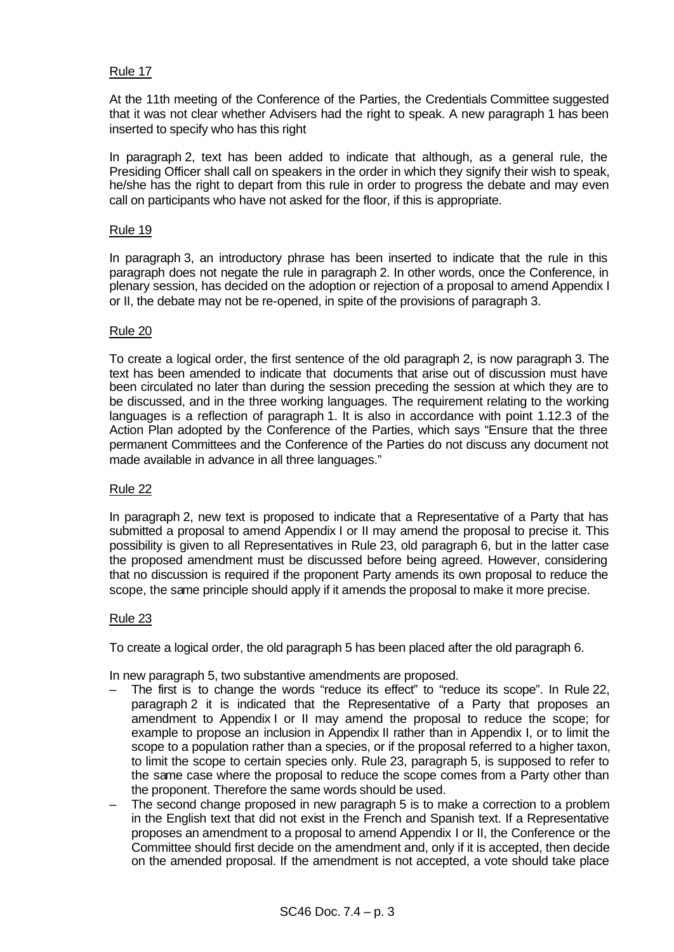# Rule 17

At the 11th meeting of the Conference of the Parties, the Credentials Committee suggested that it was not clear whether Advisers had the right to speak. A new paragraph 1 has been inserted to specify who has this right

In paragraph 2, text has been added to indicate that although, as a general rule, the Presiding Officer shall call on speakers in the order in which they signify their wish to speak, he/she has the right to depart from this rule in order to progress the debate and may even call on participants who have not asked for the floor, if this is appropriate.

### Rule 19

In paragraph 3, an introductory phrase has been inserted to indicate that the rule in this paragraph does not negate the rule in paragraph 2. In other words, once the Conference, in plenary session, has decided on the adoption or rejection of a proposal to amend Appendix I or II, the debate may not be re-opened, in spite of the provisions of paragraph 3.

#### Rule 20

To create a logical order, the first sentence of the old paragraph 2, is now paragraph 3. The text has been amended to indicate that documents that arise out of discussion must have been circulated no later than during the session preceding the session at which they are to be discussed, and in the three working languages. The requirement relating to the working languages is a reflection of paragraph 1. It is also in accordance with point 1.12.3 of the Action Plan adopted by the Conference of the Parties, which says "Ensure that the three permanent Committees and the Conference of the Parties do not discuss any document not made available in advance in all three languages."

#### Rule 22

In paragraph 2, new text is proposed to indicate that a Representative of a Party that has submitted a proposal to amend Appendix I or II may amend the proposal to precise it. This possibility is given to all Representatives in Rule 23, old paragraph 6, but in the latter case the proposed amendment must be discussed before being agreed. However, considering that no discussion is required if the proponent Party amends its own proposal to reduce the scope, the same principle should apply if it amends the proposal to make it more precise.

#### Rule 23

To create a logical order, the old paragraph 5 has been placed after the old paragraph 6.

In new paragraph 5, two substantive amendments are proposed.

- The first is to change the words "reduce its effect" to "reduce its scope". In Rule 22, paragraph 2 it is indicated that the Representative of a Party that proposes an amendment to Appendix I or II may amend the proposal to reduce the scope; for example to propose an inclusion in Appendix II rather than in Appendix I, or to limit the scope to a population rather than a species, or if the proposal referred to a higher taxon, to limit the scope to certain species only. Rule 23, paragraph 5, is supposed to refer to the same case where the proposal to reduce the scope comes from a Party other than the proponent. Therefore the same words should be used.
- The second change proposed in new paragraph 5 is to make a correction to a problem in the English text that did not exist in the French and Spanish text. If a Representative proposes an amendment to a proposal to amend Appendix I or II, the Conference or the Committee should first decide on the amendment and, only if it is accepted, then decide on the amended proposal. If the amendment is not accepted, a vote should take place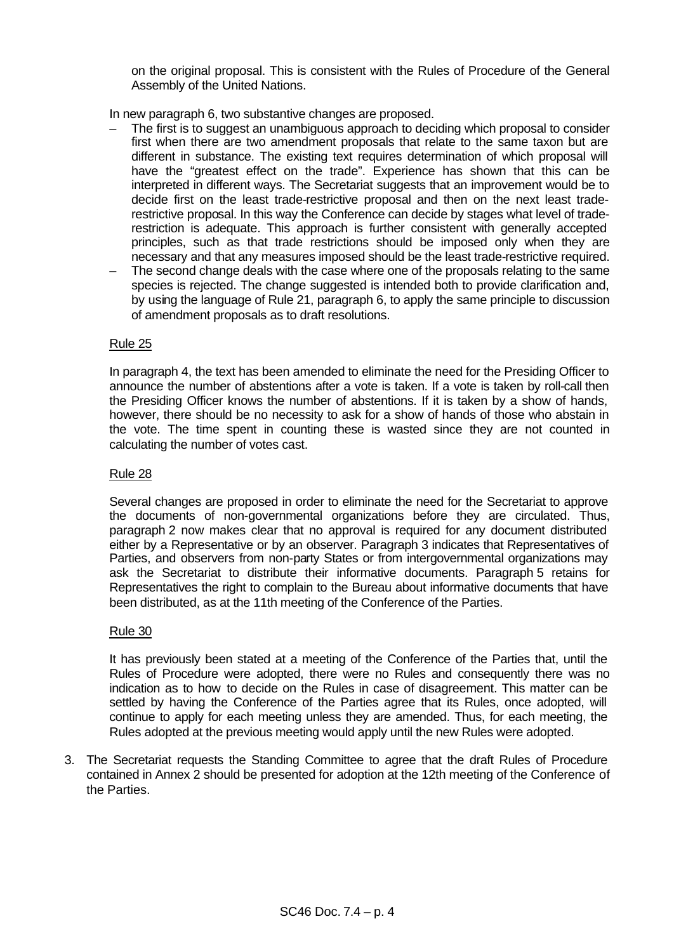on the original proposal. This is consistent with the Rules of Procedure of the General Assembly of the United Nations.

In new paragraph 6, two substantive changes are proposed.

- The first is to suggest an unambiguous approach to deciding which proposal to consider first when there are two amendment proposals that relate to the same taxon but are different in substance. The existing text requires determination of which proposal will have the "greatest effect on the trade". Experience has shown that this can be interpreted in different ways. The Secretariat suggests that an improvement would be to decide first on the least trade-restrictive proposal and then on the next least traderestrictive proposal. In this way the Conference can decide by stages what level of traderestriction is adequate. This approach is further consistent with generally accepted principles, such as that trade restrictions should be imposed only when they are necessary and that any measures imposed should be the least trade-restrictive required.
- The second change deals with the case where one of the proposals relating to the same species is rejected. The change suggested is intended both to provide clarification and, by using the language of Rule 21, paragraph 6, to apply the same principle to discussion of amendment proposals as to draft resolutions.

#### Rule 25

In paragraph 4, the text has been amended to eliminate the need for the Presiding Officer to announce the number of abstentions after a vote is taken. If a vote is taken by roll-call then the Presiding Officer knows the number of abstentions. If it is taken by a show of hands, however, there should be no necessity to ask for a show of hands of those who abstain in the vote. The time spent in counting these is wasted since they are not counted in calculating the number of votes cast.

#### Rule 28

Several changes are proposed in order to eliminate the need for the Secretariat to approve the documents of non-governmental organizations before they are circulated. Thus, paragraph 2 now makes clear that no approval is required for any document distributed either by a Representative or by an observer. Paragraph 3 indicates that Representatives of Parties, and observers from non-party States or from intergovernmental organizations may ask the Secretariat to distribute their informative documents. Paragraph 5 retains for Representatives the right to complain to the Bureau about informative documents that have been distributed, as at the 11th meeting of the Conference of the Parties.

#### Rule 30

It has previously been stated at a meeting of the Conference of the Parties that, until the Rules of Procedure were adopted, there were no Rules and consequently there was no indication as to how to decide on the Rules in case of disagreement. This matter can be settled by having the Conference of the Parties agree that its Rules, once adopted, will continue to apply for each meeting unless they are amended. Thus, for each meeting, the Rules adopted at the previous meeting would apply until the new Rules were adopted.

3. The Secretariat requests the Standing Committee to agree that the draft Rules of Procedure contained in Annex 2 should be presented for adoption at the 12th meeting of the Conference of the Parties.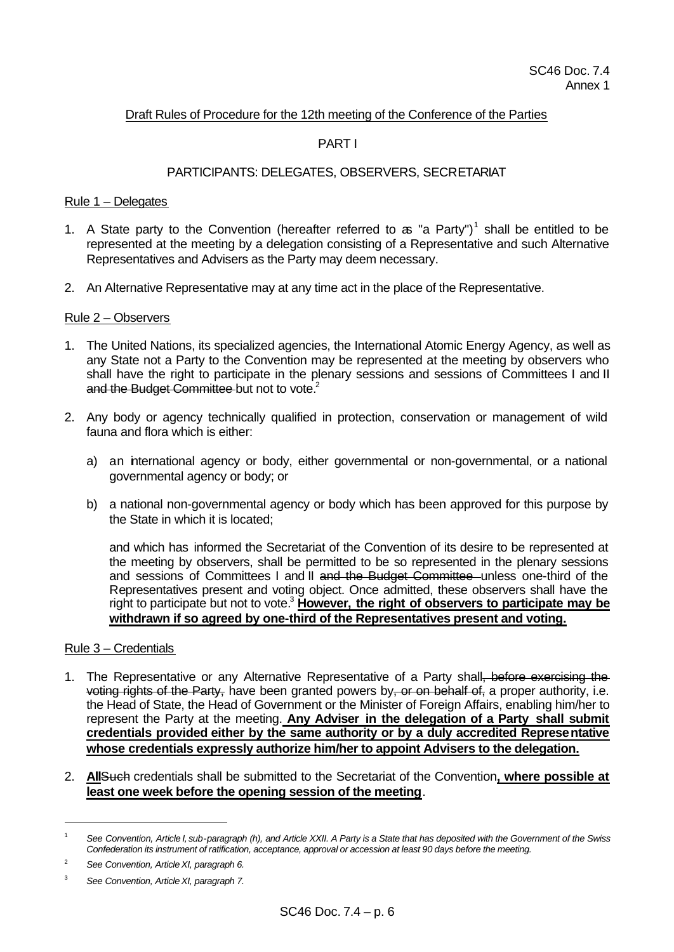# Draft Rules of Procedure for the 12th meeting of the Conference of the Parties

# PART I

# PARTICIPANTS: DELEGATES, OBSERVERS, SECRETARIAT

#### Rule 1 – Delegates

- 1. A State party to the Convention (hereafter referred to  $a$  "a Party")<sup>1</sup> shall be entitled to be represented at the meeting by a delegation consisting of a Representative and such Alternative Representatives and Advisers as the Party may deem necessary.
- 2. An Alternative Representative may at any time act in the place of the Representative.

#### Rule 2 – Observers

- 1. The United Nations, its specialized agencies, the International Atomic Energy Agency, as well as any State not a Party to the Convention may be represented at the meeting by observers who shall have the right to participate in the plenary sessions and sessions of Committees I and II and the Budget Committee but not to vote.<sup>2</sup>
- 2. Any body or agency technically qualified in protection, conservation or management of wild fauna and flora which is either:
	- a) an international agency or body, either governmental or non-governmental, or a national governmental agency or body; or
	- b) a national non-governmental agency or body which has been approved for this purpose by the State in which it is located;

and which has informed the Secretariat of the Convention of its desire to be represented at the meeting by observers, shall be permitted to be so represented in the plenary sessions and sessions of Committees I and II and the Budget Committee unless one-third of the Representatives present and voting object. Once admitted, these observers shall have the right to participate but not to vote.<sup>3</sup> **However, the right of observers to participate may be withdrawn if so agreed by one-third of the Representatives present and voting.**

#### Rule 3 – Credentials

- 1. The Representative or any Alternative Representative of a Party shall<del>, before exercising the</del> voting rights of the Party, have been granted powers by, or on behalf of, a proper authority, i.e. the Head of State, the Head of Government or the Minister of Foreign Affairs, enabling him/her to represent the Party at the meeting. **Any Adviser in the delegation of a Party shall submit credentials provided either by the same authority or by a duly accredited Representative whose credentials expressly authorize him/her to appoint Advisers to the delegation.**
- 2. **All**Such credentials shall be submitted to the Secretariat of the Convention**, where possible at least one week before the opening session of the meeting**.

<sup>1</sup> *See Convention, Article I, sub-paragraph (h), and Article XXII. A Party is a State that has deposited with the Government of the Swiss Confederation its instrument of ratification, acceptance, approval or accession at least 90 days before the meeting.*

<sup>2</sup> *See Convention, ArticleXI, paragraph 6.*

<sup>3</sup> *See Convention, ArticleXI, paragraph 7.*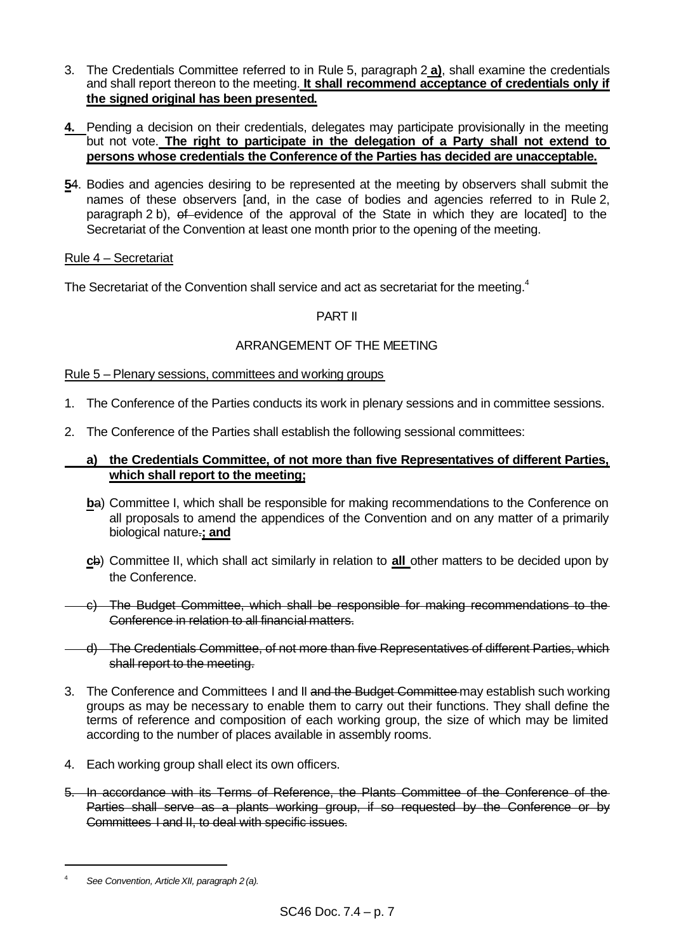- 3. The Credentials Committee referred to in Rule 5, paragraph 2 **a)**, shall examine the credentials and shall report thereon to the meeting. **It shall recommend acceptance of credentials only if the signed original has been presented.**
- **4.** Pending a decision on their credentials, delegates may participate provisionally in the meeting but not vote. **The right to participate in the delegation of a Party shall not extend to persons whose credentials the Conference of the Parties has decided are unacceptable.**
- **5**4. Bodies and agencies desiring to be represented at the meeting by observers shall submit the names of these observers [and, in the case of bodies and agencies referred to in Rule 2, paragraph 2 b), of evidence of the approval of the State in which they are located] to the Secretariat of the Convention at least one month prior to the opening of the meeting.

# Rule 4 – Secretariat

The Secretariat of the Convention shall service and act as secretariat for the meeting.<sup>4</sup>

# PART II

# ARRANGEMENT OF THE MEETING

# Rule 5 – Plenary sessions, committees and working groups

- 1. The Conference of the Parties conducts its work in plenary sessions and in committee sessions.
- 2. The Conference of the Parties shall establish the following sessional committees:

# **a) the Credentials Committee, of not more than five Representatives of different Parties, which shall report to the meeting;**

- **b**a) Committee I, which shall be responsible for making recommendations to the Conference on all proposals to amend the appendices of the Convention and on any matter of a primarily biological nature.**; and**
- **c**b) Committee II, which shall act similarly in relation to **all** other matters to be decided upon by the Conference.
- c) The Budget Committee, which shall be responsible for making recommendations to the Conference in relation to all financial matters.
- The Credentials Committee, of not more than five Representatives of different Parties, which shall report to the meeting.
- 3. The Conference and Committees I and II and the Budget Committee may establish such working groups as may be necessary to enable them to carry out their functions. They shall define the terms of reference and composition of each working group, the size of which may be limited according to the number of places available in assembly rooms.
- 4. Each working group shall elect its own officers.
- 5. In accordance with its Terms of Reference, the Plants Committee of the Conference of the Parties shall serve as a plants working group, if so requested by the Conference or by Committees I and II, to deal with specific issues.

<sup>4</sup> *See Convention, ArticleXII, paragraph 2 (a).*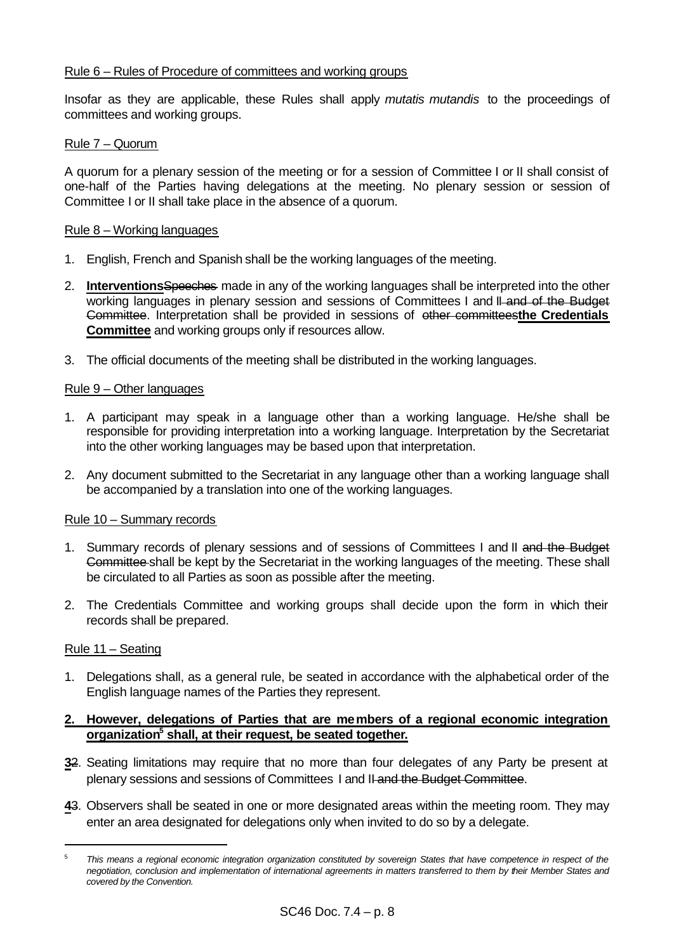## Rule 6 – Rules of Procedure of committees and working groups

Insofar as they are applicable, these Rules shall apply *mutatis mutandis* to the proceedings of committees and working groups.

### Rule 7 – Quorum

A quorum for a plenary session of the meeting or for a session of Committee I or II shall consist of one-half of the Parties having delegations at the meeting. No plenary session or session of Committee I or II shall take place in the absence of a quorum.

#### Rule 8 – Working languages

- 1. English, French and Spanish shall be the working languages of the meeting.
- 2. **Interventions**Speeches made in any of the working languages shall be interpreted into the other working languages in plenary session and sessions of Committees I and II-and of the Budget Committee. Interpretation shall be provided in sessions of other committees**the Credentials Committee** and working groups only if resources allow.
- 3. The official documents of the meeting shall be distributed in the working languages.

#### Rule 9 – Other languages

- 1. A participant may speak in a language other than a working language. He/she shall be responsible for providing interpretation into a working language. Interpretation by the Secretariat into the other working languages may be based upon that interpretation.
- 2. Any document submitted to the Secretariat in any language other than a working language shall be accompanied by a translation into one of the working languages.

#### Rule 10 – Summary records

- 1. Summary records of plenary sessions and of sessions of Committees I and II and the Budget Committee shall be kept by the Secretariat in the working languages of the meeting. These shall be circulated to all Parties as soon as possible after the meeting.
- 2. The Credentials Committee and working groups shall decide upon the form in which their records shall be prepared.

### Rule 11 – Seating

l

1. Delegations shall, as a general rule, be seated in accordance with the alphabetical order of the English language names of the Parties they represent.

# **2. However, delegations of Parties that are members of a regional economic integration organization<sup>5</sup> shall, at their request, be seated together.**

- **3**2. Seating limitations may require that no more than four delegates of any Party be present at plenary sessions and sessions of Committees I and II and the Budget Committee.
- **4**3. Observers shall be seated in one or more designated areas within the meeting room. They may enter an area designated for delegations only when invited to do so by a delegate.

<sup>5</sup> *This means a regional economic integration organization constituted by sovereign States that have competence in respect of the negotiation, conclusion and implementation of international agreements in matters transferred to them by their Member States and covered by the Convention.*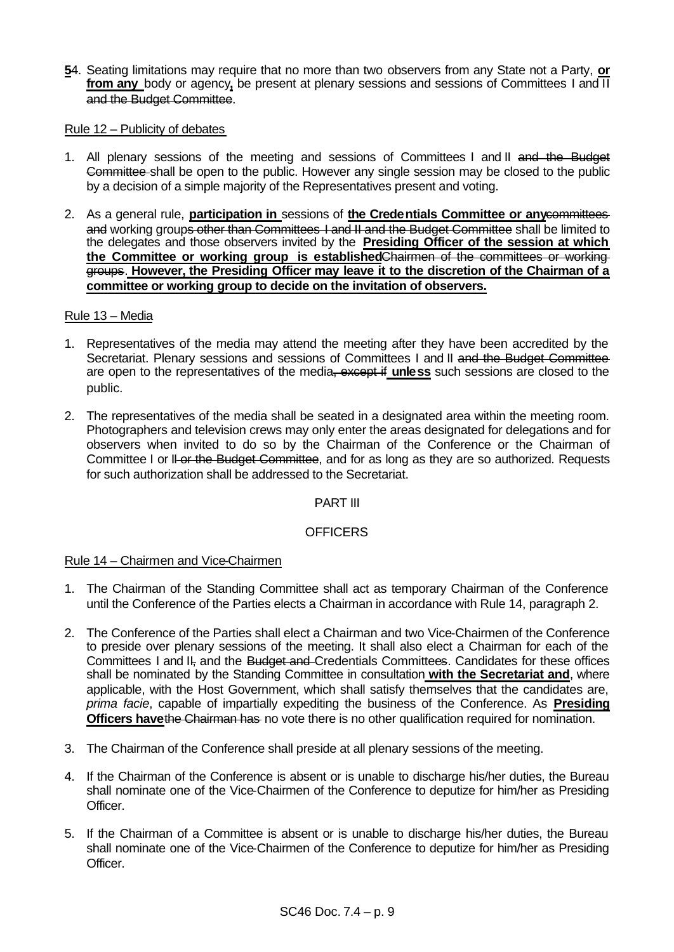**5**4. Seating limitations may require that no more than two observers from any State not a Party, **or from any** body or agency**,** be present at plenary sessions and sessions of Committees I and II and the Budget Committee.

#### Rule 12 – Publicity of debates

- 1. All plenary sessions of the meeting and sessions of Committees I and II and the Budget Committee shall be open to the public. However any single session may be closed to the public by a decision of a simple majority of the Representatives present and voting.
- 2. As a general rule, **participation in** sessions of **the Credentials Committee or any**committees and working groups other than Committees I and II and the Budget Committee shall be limited to the delegates and those observers invited by the **Presiding Officer of the session at which the Committee or working group is established**Chairmen of the committees or working groups. **However, the Presiding Officer may leave it to the discretion of the Chairman of a committee or working group to decide on the invitation of observers.**

### Rule 13 – Media

- 1. Representatives of the media may attend the meeting after they have been accredited by the Secretariat. Plenary sessions and sessions of Committees I and II and the Budget Committee are open to the representatives of the media, except if unless such sessions are closed to the public.
- 2. The representatives of the media shall be seated in a designated area within the meeting room. Photographers and television crews may only enter the areas designated for delegations and for observers when invited to do so by the Chairman of the Conference or the Chairman of Committee I or II-or the Budget Committee, and for as long as they are so authorized. Requests for such authorization shall be addressed to the Secretariat.

# PART III

# **OFFICERS**

# Rule 14 – Chairmen and Vice-Chairmen

- 1. The Chairman of the Standing Committee shall act as temporary Chairman of the Conference until the Conference of the Parties elects a Chairman in accordance with Rule 14, paragraph 2.
- 2. The Conference of the Parties shall elect a Chairman and two Vice-Chairmen of the Conference to preside over plenary sessions of the meeting. It shall also elect a Chairman for each of the Committees I and II, and the Budget and Credentials Committees. Candidates for these offices shall be nominated by the Standing Committee in consultation **with the Secretariat and**, where applicable, with the Host Government, which shall satisfy themselves that the candidates are, *prima facie*, capable of impartially expediting the business of the Conference. As **Presiding Officers have the Chairman has** no vote there is no other qualification required for nomination.
- 3. The Chairman of the Conference shall preside at all plenary sessions of the meeting.
- 4. If the Chairman of the Conference is absent or is unable to discharge his/her duties, the Bureau shall nominate one of the Vice-Chairmen of the Conference to deputize for him/her as Presiding Officer.
- 5. If the Chairman of a Committee is absent or is unable to discharge his/her duties, the Bureau shall nominate one of the Vice-Chairmen of the Conference to deputize for him/her as Presiding Officer.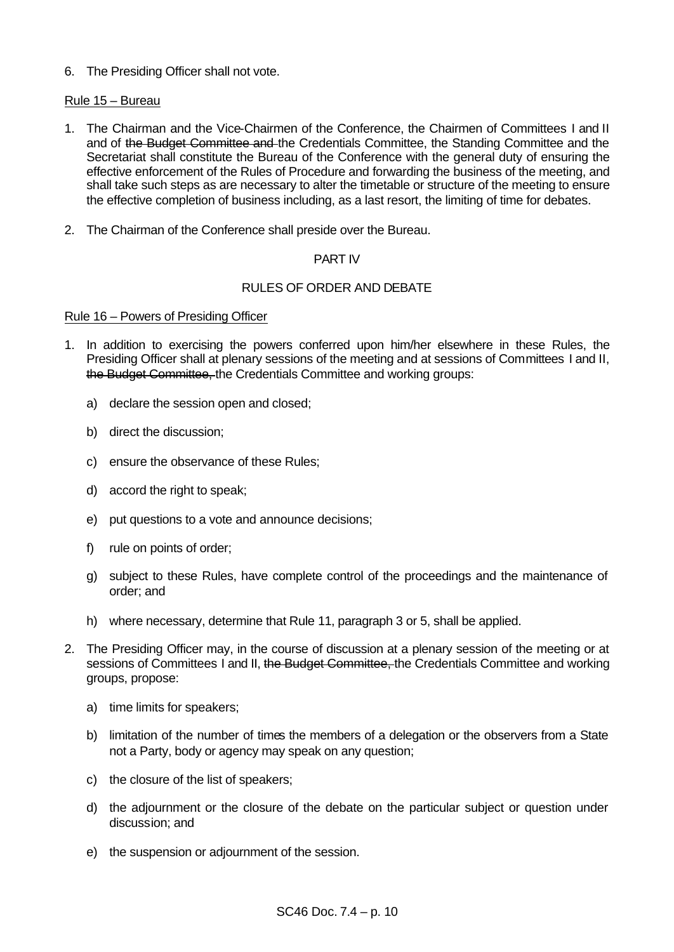6. The Presiding Officer shall not vote.

# Rule 15 – Bureau

- 1. The Chairman and the Vice-Chairmen of the Conference, the Chairmen of Committees I and II and of the Budget Committee and the Credentials Committee, the Standing Committee and the Secretariat shall constitute the Bureau of the Conference with the general duty of ensuring the effective enforcement of the Rules of Procedure and forwarding the business of the meeting, and shall take such steps as are necessary to alter the timetable or structure of the meeting to ensure the effective completion of business including, as a last resort, the limiting of time for debates.
- 2. The Chairman of the Conference shall preside over the Bureau.

# PART IV

# RULES OF ORDER AND DEBATE

# Rule 16 – Powers of Presiding Officer

- 1. In addition to exercising the powers conferred upon him/her elsewhere in these Rules, the Presiding Officer shall at plenary sessions of the meeting and at sessions of Committees I and II, the Budget Committee, the Credentials Committee and working groups:
	- a) declare the session open and closed;
	- b) direct the discussion;
	- c) ensure the observance of these Rules;
	- d) accord the right to speak;
	- e) put questions to a vote and announce decisions;
	- f) rule on points of order;
	- g) subject to these Rules, have complete control of the proceedings and the maintenance of order; and
	- h) where necessary, determine that Rule 11, paragraph 3 or 5, shall be applied.
- 2. The Presiding Officer may, in the course of discussion at a plenary session of the meeting or at sessions of Committees I and II, the Budget Committee, the Credentials Committee and working groups, propose:
	- a) time limits for speakers;
	- b) limitation of the number of times the members of a delegation or the observers from a State not a Party, body or agency may speak on any question;
	- c) the closure of the list of speakers;
	- d) the adjournment or the closure of the debate on the particular subject or question under discussion; and
	- e) the suspension or adjournment of the session.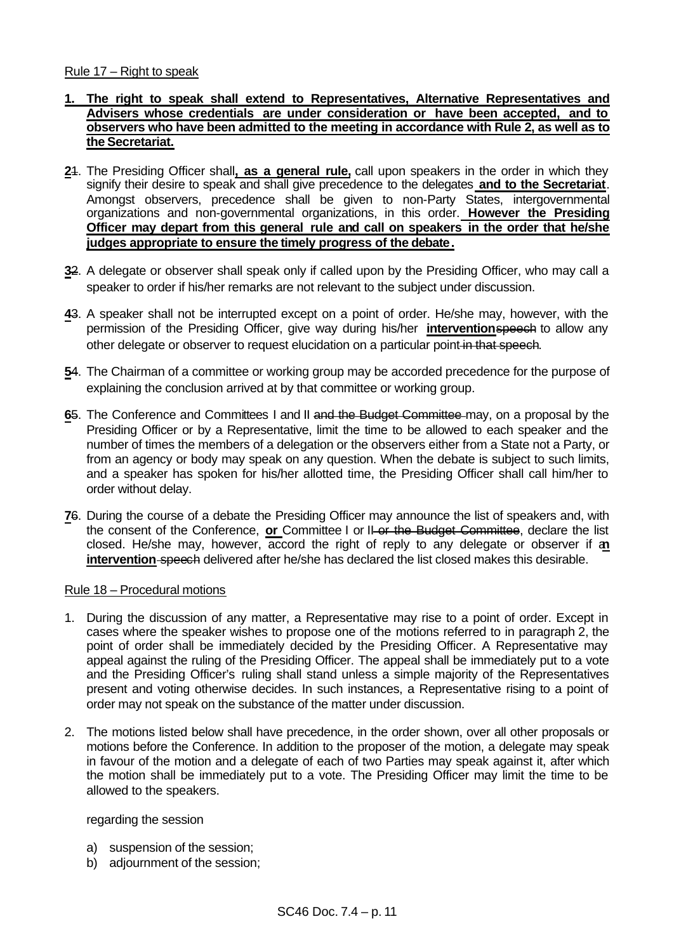#### Rule 17 – Right to speak

- **1. The right to speak shall extend to Representatives, Alternative Representatives and Advisers whose credentials are under consideration or have been accepted, and to observers who have been admitted to the meeting in accordance with Rule 2, as well as to the Secretariat.**
- **2**1. The Presiding Officer shall**, as a general rule,** call upon speakers in the order in which they signify their desire to speak and shall give precedence to the delegates **and to the Secretariat**. Amongst observers, precedence shall be given to non-Party States, intergovernmental organizations and non-governmental organizations, in this order. **However the Presiding Officer may depart from this general rule and call on speakers in the order that he/she judges appropriate to ensure the timely progress of the debate.**
- **3**2. A delegate or observer shall speak only if called upon by the Presiding Officer, who may call a speaker to order if his/her remarks are not relevant to the subject under discussion.
- **4**3. A speaker shall not be interrupted except on a point of order. He/she may, however, with the permission of the Presiding Officer, give way during his/her **intervention**speech to allow any other delegate or observer to request elucidation on a particular point in that speech.
- **5**4. The Chairman of a committee or working group may be accorded precedence for the purpose of explaining the conclusion arrived at by that committee or working group.
- **6**5. The Conference and Committees I and II and the Budget Committee may, on a proposal by the Presiding Officer or by a Representative, limit the time to be allowed to each speaker and the number of times the members of a delegation or the observers either from a State not a Party, or from an agency or body may speak on any question. When the debate is subject to such limits, and a speaker has spoken for his/her allotted time, the Presiding Officer shall call him/her to order without delay.
- **7**6. During the course of a debate the Presiding Officer may announce the list of speakers and, with the consent of the Conference, **or** Committee I or II or the Budget Committee, declare the list closed. He/she may, however, accord the right of reply to any delegate or observer if a**n intervention-speech** delivered after he/she has declared the list closed makes this desirable.

#### Rule 18 – Procedural motions

- 1. During the discussion of any matter, a Representative may rise to a point of order. Except in cases where the speaker wishes to propose one of the motions referred to in paragraph 2, the point of order shall be immediately decided by the Presiding Officer. A Representative may appeal against the ruling of the Presiding Officer. The appeal shall be immediately put to a vote and the Presiding Officer's ruling shall stand unless a simple majority of the Representatives present and voting otherwise decides. In such instances, a Representative rising to a point of order may not speak on the substance of the matter under discussion.
- 2. The motions listed below shall have precedence, in the order shown, over all other proposals or motions before the Conference. In addition to the proposer of the motion, a delegate may speak in favour of the motion and a delegate of each of two Parties may speak against it, after which the motion shall be immediately put to a vote. The Presiding Officer may limit the time to be allowed to the speakers.

#### regarding the session

- a) suspension of the session;
- b) adjournment of the session;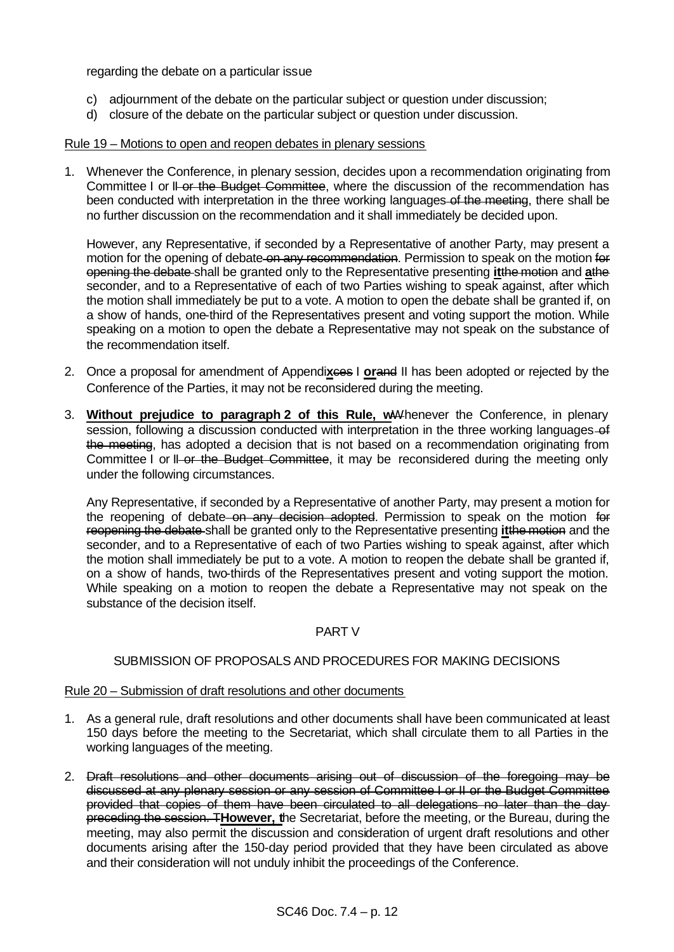regarding the debate on a particular issue

- c) adjournment of the debate on the particular subject or question under discussion;
- d) closure of the debate on the particular subject or question under discussion.

#### Rule 19 – Motions to open and reopen debates in plenary sessions

1. Whenever the Conference, in plenary session, decides upon a recommendation originating from Committee I or II or the Budget Committee, where the discussion of the recommendation has been conducted with interpretation in the three working languages-of the meeting, there shall be no further discussion on the recommendation and it shall immediately be decided upon.

However, any Representative, if seconded by a Representative of another Party, may present a motion for the opening of debate on any recommendation. Permission to speak on the motion for opening the debate shall be granted only to the Representative presenting **it**the motion and **a**the seconder, and to a Representative of each of two Parties wishing to speak against, after which the motion shall immediately be put to a vote. A motion to open the debate shall be granted if, on a show of hands, one-third of the Representatives present and voting support the motion. While speaking on a motion to open the debate a Representative may not speak on the substance of the recommendation itself.

- 2. Once a proposal for amendment of Appendixees I **orand II** has been adopted or rejected by the Conference of the Parties, it may not be reconsidered during the meeting.
- 3. **Without prejudice to paragraph 2 of this Rule, w**Whenever the Conference, in plenary session, following a discussion conducted with interpretation in the three working languages-of the meeting, has adopted a decision that is not based on a recommendation originating from Committee I or II or the Budget Committee, it may be reconsidered during the meeting only under the following circumstances.

Any Representative, if seconded by a Representative of another Party, may present a motion for the reopening of debate on any decision adopted. Permission to speak on the motion for reopening the debate shall be granted only to the Representative presenting **it**the motion and the seconder, and to a Representative of each of two Parties wishing to speak against, after which the motion shall immediately be put to a vote. A motion to reopen the debate shall be granted if, on a show of hands, two-thirds of the Representatives present and voting support the motion. While speaking on a motion to reopen the debate a Representative may not speak on the substance of the decision itself.

# PART V

# SUBMISSION OF PROPOSALS AND PROCEDURES FOR MAKING DECISIONS

#### Rule 20 – Submission of draft resolutions and other documents

- 1. As a general rule, draft resolutions and other documents shall have been communicated at least 150 days before the meeting to the Secretariat, which shall circulate them to all Parties in the working languages of the meeting.
- 2. Draft resolutions and other documents arising out of discussion of the foregoing may be discussed at any plenary session or any session of Committee I or II or the Budget Committee provided that copies of them have been circulated to all delegations no later than the day preceding the session. T**However, t**he Secretariat, before the meeting, or the Bureau, during the meeting, may also permit the discussion and consideration of urgent draft resolutions and other documents arising after the 150-day period provided that they have been circulated as above and their consideration will not unduly inhibit the proceedings of the Conference.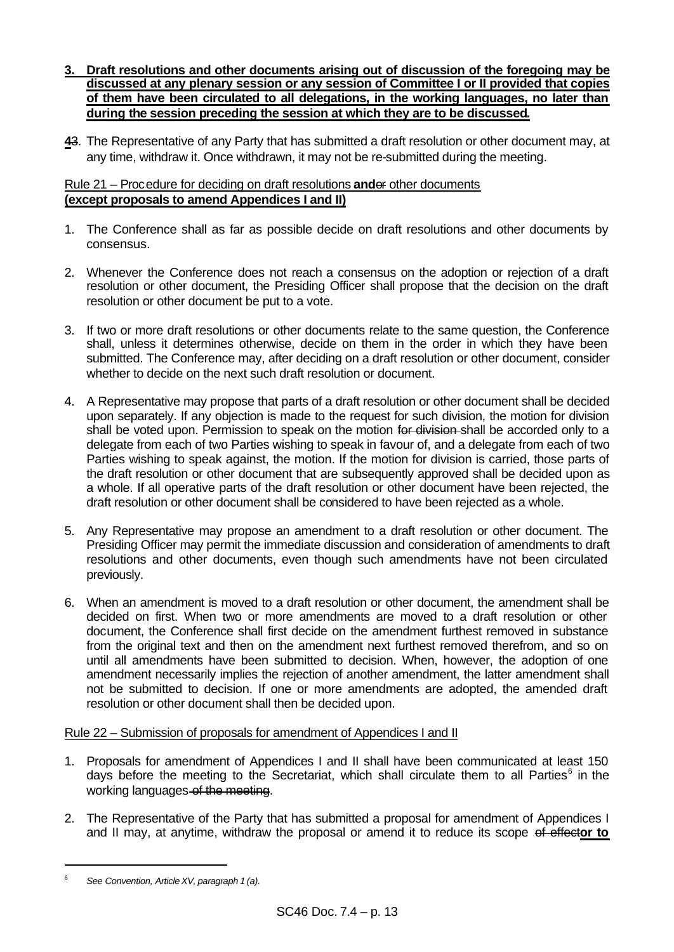- **3. Draft resolutions and other documents arising out of discussion of the foregoing may be discussed at any plenary session or any session of Committee I or II provided that copies of them have been circulated to all delegations, in the working languages, no later than during the session preceding the session at which they are to be discussed.**
- **4**3. The Representative of any Party that has submitted a draft resolution or other document may, at any time, withdraw it. Once withdrawn, it may not be re-submitted during the meeting.

# Rule 21 – Procedure for deciding on draft resolutions **and**or other documents **(except proposals to amend Appendices I and II)**

- 1. The Conference shall as far as possible decide on draft resolutions and other documents by consensus.
- 2. Whenever the Conference does not reach a consensus on the adoption or rejection of a draft resolution or other document, the Presiding Officer shall propose that the decision on the draft resolution or other document be put to a vote.
- 3. If two or more draft resolutions or other documents relate to the same question, the Conference shall, unless it determines otherwise, decide on them in the order in which they have been submitted. The Conference may, after deciding on a draft resolution or other document, consider whether to decide on the next such draft resolution or document.
- 4. A Representative may propose that parts of a draft resolution or other document shall be decided upon separately. If any objection is made to the request for such division, the motion for division shall be voted upon. Permission to speak on the motion for division shall be accorded only to a delegate from each of two Parties wishing to speak in favour of, and a delegate from each of two Parties wishing to speak against, the motion. If the motion for division is carried, those parts of the draft resolution or other document that are subsequently approved shall be decided upon as a whole. If all operative parts of the draft resolution or other document have been rejected, the draft resolution or other document shall be considered to have been rejected as a whole.
- 5. Any Representative may propose an amendment to a draft resolution or other document. The Presiding Officer may permit the immediate discussion and consideration of amendments to draft resolutions and other documents, even though such amendments have not been circulated previously.
- 6. When an amendment is moved to a draft resolution or other document, the amendment shall be decided on first. When two or more amendments are moved to a draft resolution or other document, the Conference shall first decide on the amendment furthest removed in substance from the original text and then on the amendment next furthest removed therefrom, and so on until all amendments have been submitted to decision. When, however, the adoption of one amendment necessarily implies the rejection of another amendment, the latter amendment shall not be submitted to decision. If one or more amendments are adopted, the amended draft resolution or other document shall then be decided upon.

# Rule 22 – Submission of proposals for amendment of Appendices I and II

- 1. Proposals for amendment of Appendices I and II shall have been communicated at least 150 days before the meeting to the Secretariat, which shall circulate them to all Parties $6$  in the working languages of the meeting.
- 2. The Representative of the Party that has submitted a proposal for amendment of Appendices I and II may, at anytime, withdraw the proposal or amend it to reduce its scope of effect**or to**

<sup>6</sup> *See Convention, ArticleXV, paragraph 1 (a).*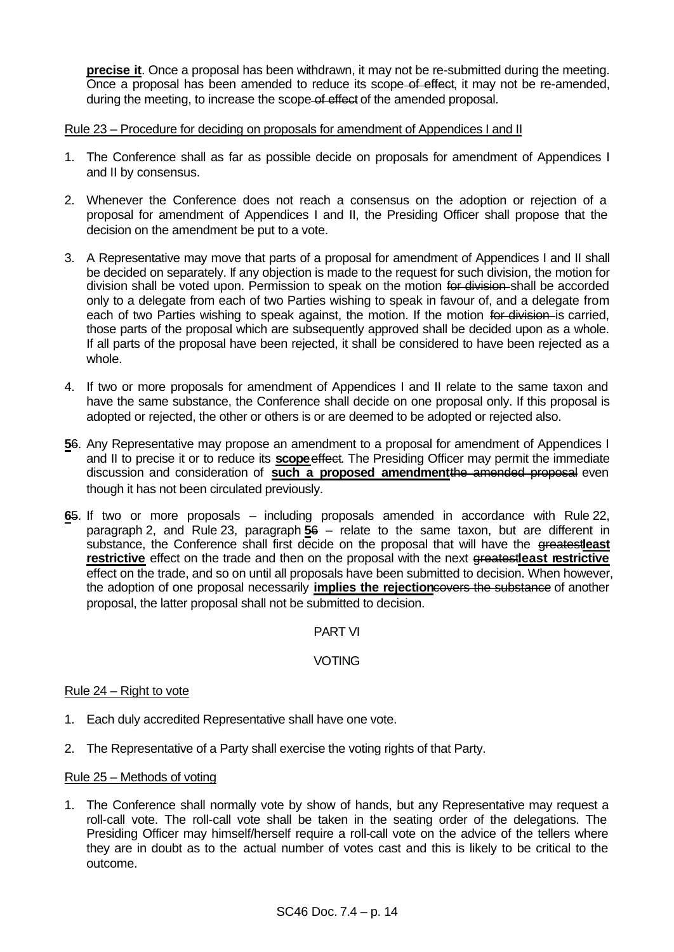**precise it**. Once a proposal has been withdrawn, it may not be re-submitted during the meeting. Once a proposal has been amended to reduce its scope of effect, it may not be re-amended, during the meeting, to increase the scope of effect of the amended proposal.

Rule 23 – Procedure for deciding on proposals for amendment of Appendices I and II

- 1. The Conference shall as far as possible decide on proposals for amendment of Appendices I and II by consensus.
- 2. Whenever the Conference does not reach a consensus on the adoption or rejection of a proposal for amendment of Appendices I and II, the Presiding Officer shall propose that the decision on the amendment be put to a vote.
- 3. A Representative may move that parts of a proposal for amendment of Appendices I and II shall be decided on separately. If any objection is made to the request for such division, the motion for division shall be voted upon. Permission to speak on the motion for division-shall be accorded only to a delegate from each of two Parties wishing to speak in favour of, and a delegate from each of two Parties wishing to speak against, the motion. If the motion for division is carried, those parts of the proposal which are subsequently approved shall be decided upon as a whole. If all parts of the proposal have been rejected, it shall be considered to have been rejected as a whole.
- 4. If two or more proposals for amendment of Appendices I and II relate to the same taxon and have the same substance, the Conference shall decide on one proposal only. If this proposal is adopted or rejected, the other or others is or are deemed to be adopted or rejected also.
- **5**6. Any Representative may propose an amendment to a proposal for amendment of Appendices I and II to precise it or to reduce its **scope**effect. The Presiding Officer may permit the immediate discussion and consideration of **such a proposed amendment**the amended proposal even though it has not been circulated previously.
- **6**5. If two or more proposals including proposals amended in accordance with Rule 22, paragraph 2, and Rule 23, paragraph **5**6 – relate to the same taxon, but are different in substance, the Conference shall first decide on the proposal that will have the greatestleast **restrictive** effect on the trade and then on the proposal with the next greatestleast restrictive effect on the trade, and so on until all proposals have been submitted to decision. When however, the adoption of one proposal necessarily **implies the rejection**covers the substance of another proposal, the latter proposal shall not be submitted to decision.

# PART VI

# VOTING

#### Rule 24 – Right to vote

- 1. Each duly accredited Representative shall have one vote.
- 2. The Representative of a Party shall exercise the voting rights of that Party.

#### Rule 25 – Methods of voting

1. The Conference shall normally vote by show of hands, but any Representative may request a roll-call vote. The roll-call vote shall be taken in the seating order of the delegations. The Presiding Officer may himself/herself require a roll-call vote on the advice of the tellers where they are in doubt as to the actual number of votes cast and this is likely to be critical to the outcome.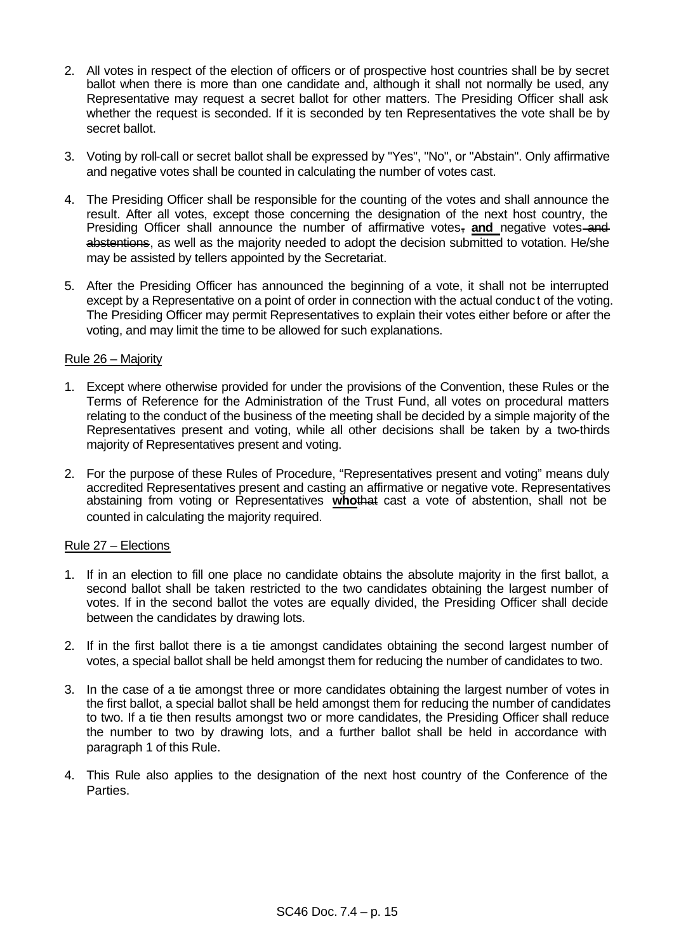- 2. All votes in respect of the election of officers or of prospective host countries shall be by secret ballot when there is more than one candidate and, although it shall not normally be used, any Representative may request a secret ballot for other matters. The Presiding Officer shall ask whether the request is seconded. If it is seconded by ten Representatives the vote shall be by secret ballot.
- 3. Voting by roll-call or secret ballot shall be expressed by "Yes", "No", or "Abstain". Only affirmative and negative votes shall be counted in calculating the number of votes cast.
- 4. The Presiding Officer shall be responsible for the counting of the votes and shall announce the result. After all votes, except those concerning the designation of the next host country, the Presiding Officer shall announce the number of affirmative votes, and negative votes and abstentions, as well as the majority needed to adopt the decision submitted to votation. He/she may be assisted by tellers appointed by the Secretariat.
- 5. After the Presiding Officer has announced the beginning of a vote, it shall not be interrupted except by a Representative on a point of order in connection with the actual conduct of the voting. The Presiding Officer may permit Representatives to explain their votes either before or after the voting, and may limit the time to be allowed for such explanations.

#### Rule 26 – Majority

- 1. Except where otherwise provided for under the provisions of the Convention, these Rules or the Terms of Reference for the Administration of the Trust Fund, all votes on procedural matters relating to the conduct of the business of the meeting shall be decided by a simple majority of the Representatives present and voting, while all other decisions shall be taken by a two-thirds majority of Representatives present and voting.
- 2. For the purpose of these Rules of Procedure, "Representatives present and voting" means duly accredited Representatives present and casting an affirmative or negative vote. Representatives abstaining from voting or Representatives **who**that cast a vote of abstention, shall not be counted in calculating the majority required.

# Rule 27 – Elections

- 1. If in an election to fill one place no candidate obtains the absolute majority in the first ballot, a second ballot shall be taken restricted to the two candidates obtaining the largest number of votes. If in the second ballot the votes are equally divided, the Presiding Officer shall decide between the candidates by drawing lots.
- 2. If in the first ballot there is a tie amongst candidates obtaining the second largest number of votes, a special ballot shall be held amongst them for reducing the number of candidates to two.
- 3. In the case of a tie amongst three or more candidates obtaining the largest number of votes in the first ballot, a special ballot shall be held amongst them for reducing the number of candidates to two. If a tie then results amongst two or more candidates, the Presiding Officer shall reduce the number to two by drawing lots, and a further ballot shall be held in accordance with paragraph 1 of this Rule.
- 4. This Rule also applies to the designation of the next host country of the Conference of the Parties.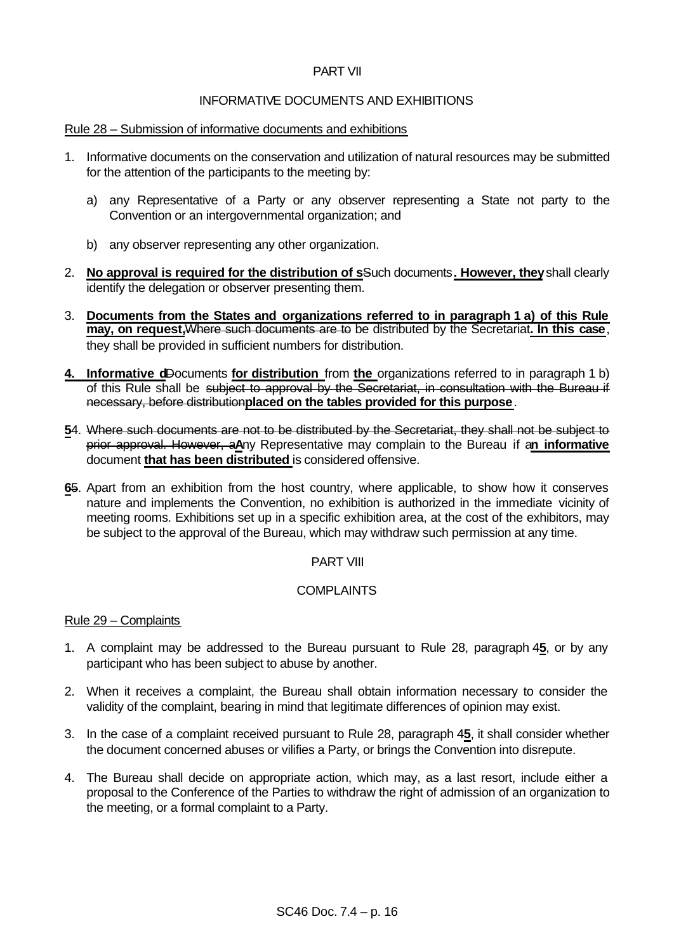# PART VII

# INFORMATIVE DOCUMENTS AND EXHIBITIONS

#### Rule 28 – Submission of informative documents and exhibitions

- 1. Informative documents on the conservation and utilization of natural resources may be submitted for the attention of the participants to the meeting by:
	- a) any Representative of a Party or any observer representing a State not party to the Convention or an intergovernmental organization; and
	- b) any observer representing any other organization.
- 2. **No approval is required for the distribution of s**Such documents**. However, they** shall clearly identify the delegation or observer presenting them.
- 3. **Documents from the States and organizations referred to in paragraph 1 a) of this Rule may, on request,**Where such documents are to be distributed by the Secretariat**. In this case**, they shall be provided in sufficient numbers for distribution.
- **4. Informative d**Documents **for distribution** from **the** organizations referred to in paragraph 1 b) of this Rule shall be subject to approval by the Secretariat, in consultation with the Bureau if necessary, before distribution**placed on the tables provided for this purpose**.
- **5**4. Where such documents are not to be distributed by the Secretariat, they shall not be subject to prior approval. However, a**A**ny Representative may complain to the Bureau if a**n informative** document **that has been distributed** is considered offensive.
- **6**5. Apart from an exhibition from the host country, where applicable, to show how it conserves nature and implements the Convention, no exhibition is authorized in the immediate vicinity of meeting rooms. Exhibitions set up in a specific exhibition area, at the cost of the exhibitors, may be subject to the approval of the Bureau, which may withdraw such permission at any time.

# PART VIII

# COMPLAINTS

#### Rule 29 – Complaints

- 1. A complaint may be addressed to the Bureau pursuant to Rule 28, paragraph 4**5**, or by any participant who has been subject to abuse by another.
- 2. When it receives a complaint, the Bureau shall obtain information necessary to consider the validity of the complaint, bearing in mind that legitimate differences of opinion may exist.
- 3. In the case of a complaint received pursuant to Rule 28, paragraph 4**5**, it shall consider whether the document concerned abuses or vilifies a Party, or brings the Convention into disrepute.
- 4. The Bureau shall decide on appropriate action, which may, as a last resort, include either a proposal to the Conference of the Parties to withdraw the right of admission of an organization to the meeting, or a formal complaint to a Party.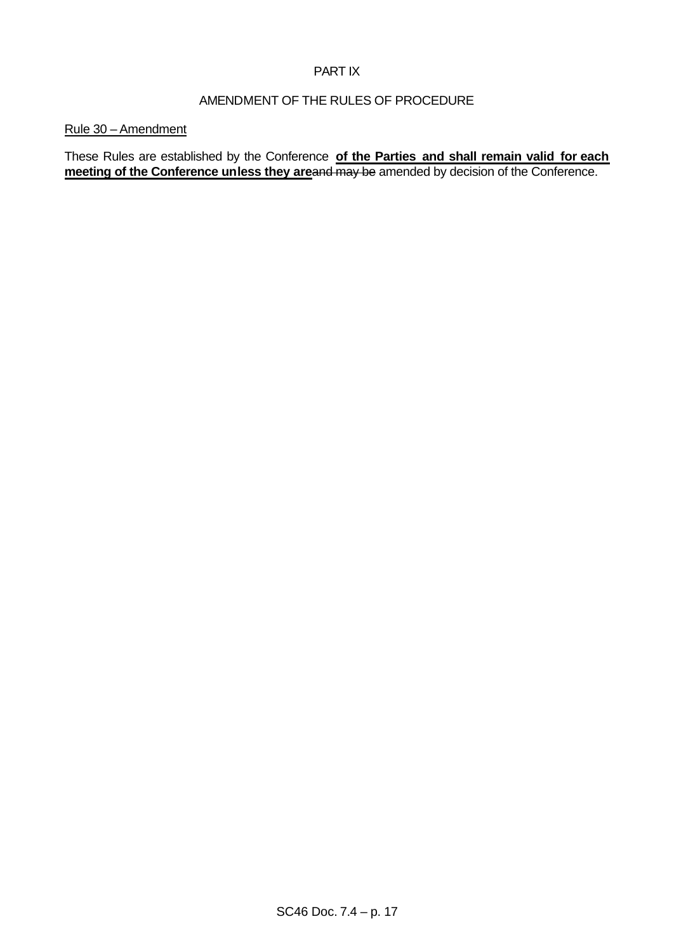# PART IX

# AMENDMENT OF THE RULES OF PROCEDURE

### Rule 30 – Amendment

These Rules are established by the Conference **of the Parties and shall remain valid for each meeting of the Conference unless they areand may be amended by decision of the Conference.**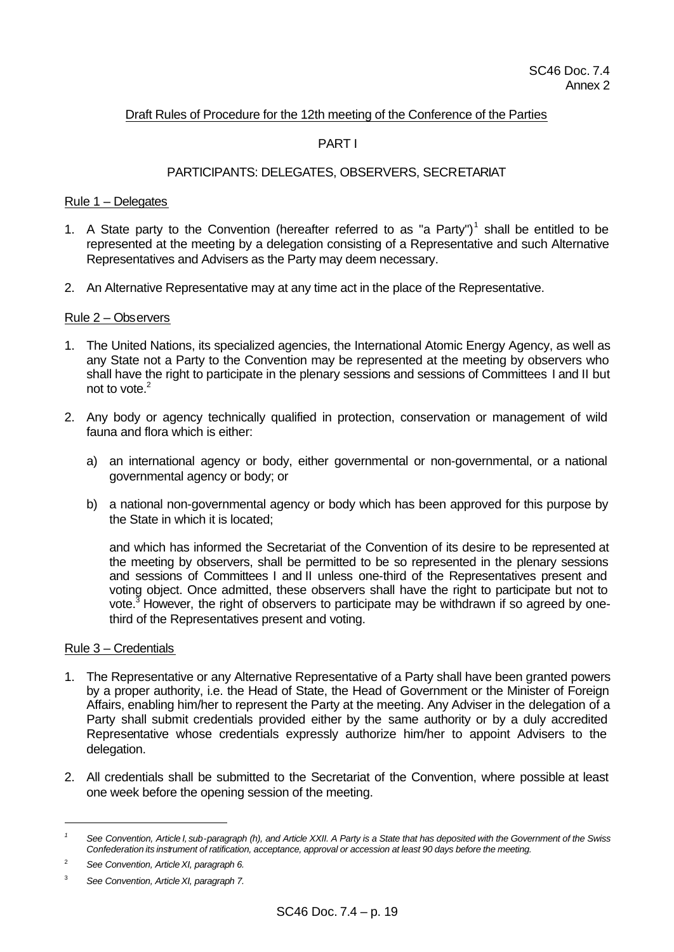## Draft Rules of Procedure for the 12th meeting of the Conference of the Parties

# PART I

### PARTICIPANTS: DELEGATES, OBSERVERS, SECRETARIAT

#### Rule 1 – Delegates

- 1. A State party to the Convention (hereafter referred to as "a Party")<sup>1</sup> shall be entitled to be represented at the meeting by a delegation consisting of a Representative and such Alternative Representatives and Advisers as the Party may deem necessary.
- 2. An Alternative Representative may at any time act in the place of the Representative.

#### Rule 2 – Observers

- 1. The United Nations, its specialized agencies, the International Atomic Energy Agency, as well as any State not a Party to the Convention may be represented at the meeting by observers who shall have the right to participate in the plenary sessions and sessions of Committees I and II but not to vote.<sup>2</sup>
- 2. Any body or agency technically qualified in protection, conservation or management of wild fauna and flora which is either:
	- a) an international agency or body, either governmental or non-governmental, or a national governmental agency or body; or
	- b) a national non-governmental agency or body which has been approved for this purpose by the State in which it is located;

and which has informed the Secretariat of the Convention of its desire to be represented at the meeting by observers, shall be permitted to be so represented in the plenary sessions and sessions of Committees I and II unless one-third of the Representatives present and voting object. Once admitted, these observers shall have the right to participate but not to vote.<sup>3</sup> However, the right of observers to participate may be withdrawn if so agreed by onethird of the Representatives present and voting.

#### Rule 3 – Credentials

- 1. The Representative or any Alternative Representative of a Party shall have been granted powers by a proper authority, i.e. the Head of State, the Head of Government or the Minister of Foreign Affairs, enabling him/her to represent the Party at the meeting. Any Adviser in the delegation of a Party shall submit credentials provided either by the same authority or by a duly accredited Representative whose credentials expressly authorize him/her to appoint Advisers to the delegation.
- 2. All credentials shall be submitted to the Secretariat of the Convention, where possible at least one week before the opening session of the meeting.

*<sup>1</sup> See Convention, Article I, sub-paragraph (h), and Article XXII. A Party is a State that has deposited with the Government of the Swiss Confederation its instrument of ratification, acceptance, approval or accession at least 90 days before the meeting.*

<sup>2</sup> *See Convention, ArticleXI, paragraph 6.*

<sup>3</sup> *See Convention, ArticleXI, paragraph 7.*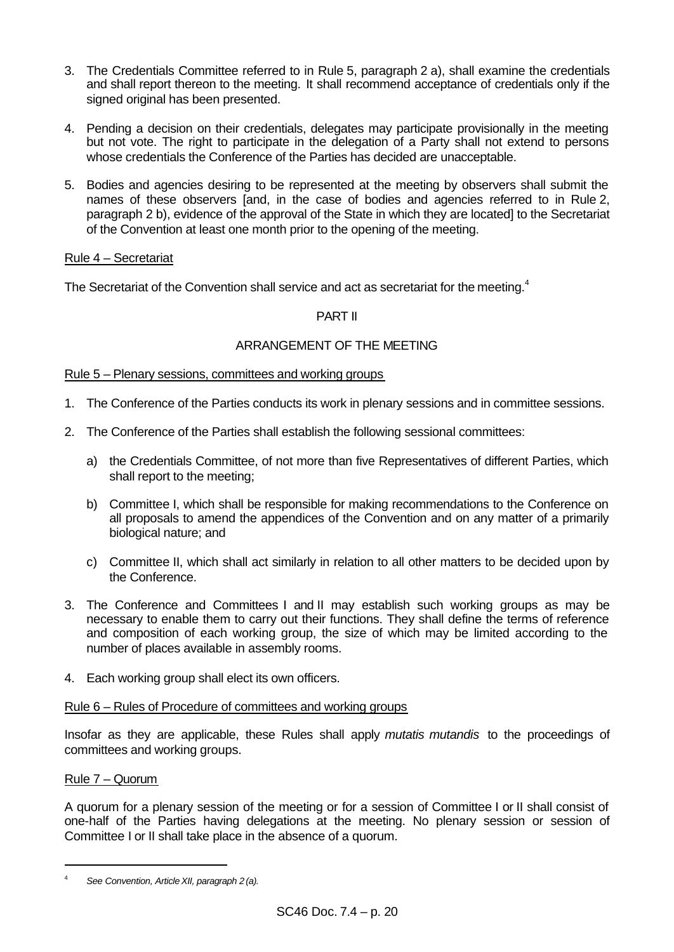- 3. The Credentials Committee referred to in Rule 5, paragraph 2 a), shall examine the credentials and shall report thereon to the meeting. It shall recommend acceptance of credentials only if the signed original has been presented.
- 4. Pending a decision on their credentials, delegates may participate provisionally in the meeting but not vote. The right to participate in the delegation of a Party shall not extend to persons whose credentials the Conference of the Parties has decided are unacceptable.
- 5. Bodies and agencies desiring to be represented at the meeting by observers shall submit the names of these observers [and, in the case of bodies and agencies referred to in Rule 2, paragraph 2 b), evidence of the approval of the State in which they are located] to the Secretariat of the Convention at least one month prior to the opening of the meeting.

# Rule 4 – Secretariat

The Secretariat of the Convention shall service and act as secretariat for the meeting.<sup>4</sup>

# PART II

# ARRANGEMENT OF THE MEETING

# Rule 5 – Plenary sessions, committees and working groups

- 1. The Conference of the Parties conducts its work in plenary sessions and in committee sessions.
- 2. The Conference of the Parties shall establish the following sessional committees:
	- a) the Credentials Committee, of not more than five Representatives of different Parties, which shall report to the meeting;
	- b) Committee I, which shall be responsible for making recommendations to the Conference on all proposals to amend the appendices of the Convention and on any matter of a primarily biological nature; and
	- c) Committee II, which shall act similarly in relation to all other matters to be decided upon by the Conference.
- 3. The Conference and Committees I and II may establish such working groups as may be necessary to enable them to carry out their functions. They shall define the terms of reference and composition of each working group, the size of which may be limited according to the number of places available in assembly rooms.
- 4. Each working group shall elect its own officers.

#### Rule 6 – Rules of Procedure of committees and working groups

Insofar as they are applicable, these Rules shall apply *mutatis mutandis* to the proceedings of committees and working groups.

# Rule 7 – Quorum

l

A quorum for a plenary session of the meeting or for a session of Committee I or II shall consist of one-half of the Parties having delegations at the meeting. No plenary session or session of Committee I or II shall take place in the absence of a quorum.

<sup>4</sup> *See Convention, ArticleXII, paragraph 2 (a).*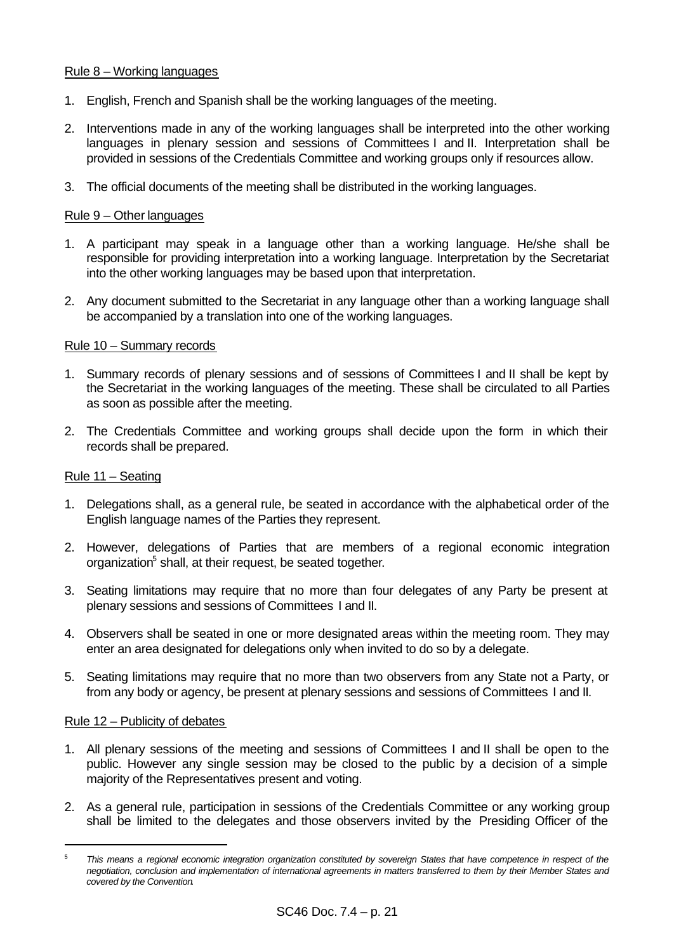# Rule 8 – Working languages

- 1. English, French and Spanish shall be the working languages of the meeting.
- 2. Interventions made in any of the working languages shall be interpreted into the other working languages in plenary session and sessions of Committees I and II. Interpretation shall be provided in sessions of the Credentials Committee and working groups only if resources allow.
- 3. The official documents of the meeting shall be distributed in the working languages.

# Rule 9 – Other languages

- 1. A participant may speak in a language other than a working language. He/she shall be responsible for providing interpretation into a working language. Interpretation by the Secretariat into the other working languages may be based upon that interpretation.
- 2. Any document submitted to the Secretariat in any language other than a working language shall be accompanied by a translation into one of the working languages.

# Rule 10 – Summary records

- 1. Summary records of plenary sessions and of sessions of Committees I and II shall be kept by the Secretariat in the working languages of the meeting. These shall be circulated to all Parties as soon as possible after the meeting.
- 2. The Credentials Committee and working groups shall decide upon the form in which their records shall be prepared.

# Rule 11 – Seating

- 1. Delegations shall, as a general rule, be seated in accordance with the alphabetical order of the English language names of the Parties they represent.
- 2. However, delegations of Parties that are members of a regional economic integration organization<sup>5</sup> shall, at their request, be seated together.
- 3. Seating limitations may require that no more than four delegates of any Party be present at plenary sessions and sessions of Committees I and II.
- 4. Observers shall be seated in one or more designated areas within the meeting room. They may enter an area designated for delegations only when invited to do so by a delegate.
- 5. Seating limitations may require that no more than two observers from any State not a Party, or from any body or agency, be present at plenary sessions and sessions of Committees I and II.

# Rule 12 – Publicity of debates

- 1. All plenary sessions of the meeting and sessions of Committees I and II shall be open to the public. However any single session may be closed to the public by a decision of a simple majority of the Representatives present and voting.
- 2. As a general rule, participation in sessions of the Credentials Committee or any working group shall be limited to the delegates and those observers invited by the Presiding Officer of the

<sup>5</sup> *This means a regional economic integration organization constituted by sovereign States that have competence in respect of the negotiation, conclusion and implementation of international agreements in matters transferred to them by their Member States and covered by the Convention.*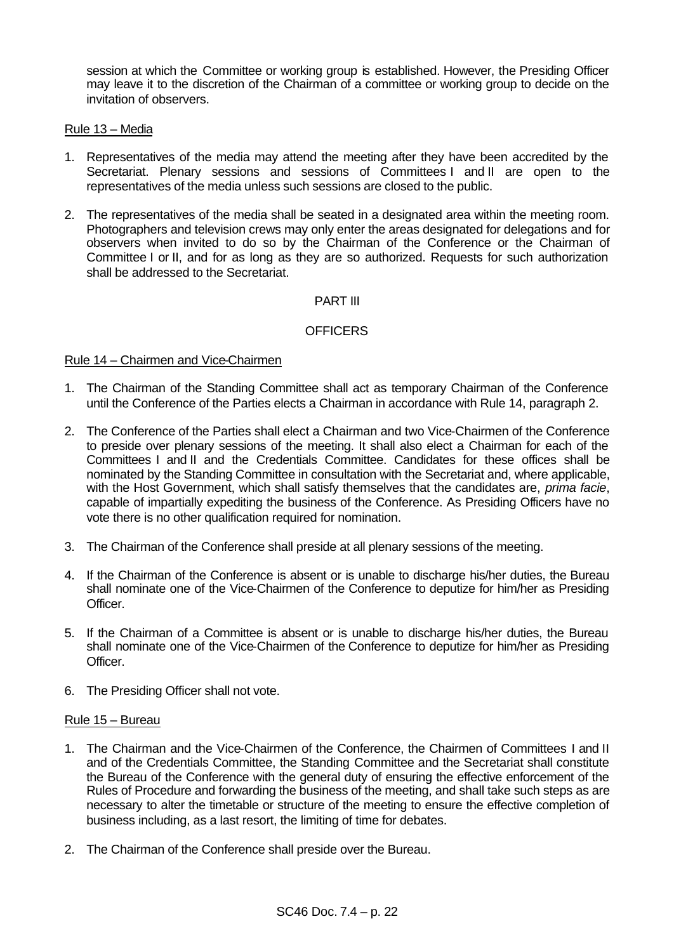session at which the Committee or working group is established. However, the Presiding Officer may leave it to the discretion of the Chairman of a committee or working group to decide on the invitation of observers.

#### Rule 13 – Media

- 1. Representatives of the media may attend the meeting after they have been accredited by the Secretariat. Plenary sessions and sessions of Committees I and II are open to the representatives of the media unless such sessions are closed to the public.
- 2. The representatives of the media shall be seated in a designated area within the meeting room. Photographers and television crews may only enter the areas designated for delegations and for observers when invited to do so by the Chairman of the Conference or the Chairman of Committee I or II, and for as long as they are so authorized. Requests for such authorization shall be addressed to the Secretariat.

# PART III

# **OFFICERS**

#### Rule 14 – Chairmen and Vice-Chairmen

- 1. The Chairman of the Standing Committee shall act as temporary Chairman of the Conference until the Conference of the Parties elects a Chairman in accordance with Rule 14, paragraph 2.
- 2. The Conference of the Parties shall elect a Chairman and two Vice-Chairmen of the Conference to preside over plenary sessions of the meeting. It shall also elect a Chairman for each of the Committees I and II and the Credentials Committee. Candidates for these offices shall be nominated by the Standing Committee in consultation with the Secretariat and, where applicable, with the Host Government, which shall satisfy themselves that the candidates are, *prima facie*, capable of impartially expediting the business of the Conference. As Presiding Officers have no vote there is no other qualification required for nomination.
- 3. The Chairman of the Conference shall preside at all plenary sessions of the meeting.
- 4. If the Chairman of the Conference is absent or is unable to discharge his/her duties, the Bureau shall nominate one of the Vice-Chairmen of the Conference to deputize for him/her as Presiding Officer.
- 5. If the Chairman of a Committee is absent or is unable to discharge his/her duties, the Bureau shall nominate one of the Vice-Chairmen of the Conference to deputize for him/her as Presiding Officer.
- 6. The Presiding Officer shall not vote.

#### Rule 15 – Bureau

- 1. The Chairman and the Vice-Chairmen of the Conference, the Chairmen of Committees I and II and of the Credentials Committee, the Standing Committee and the Secretariat shall constitute the Bureau of the Conference with the general duty of ensuring the effective enforcement of the Rules of Procedure and forwarding the business of the meeting, and shall take such steps as are necessary to alter the timetable or structure of the meeting to ensure the effective completion of business including, as a last resort, the limiting of time for debates.
- 2. The Chairman of the Conference shall preside over the Bureau.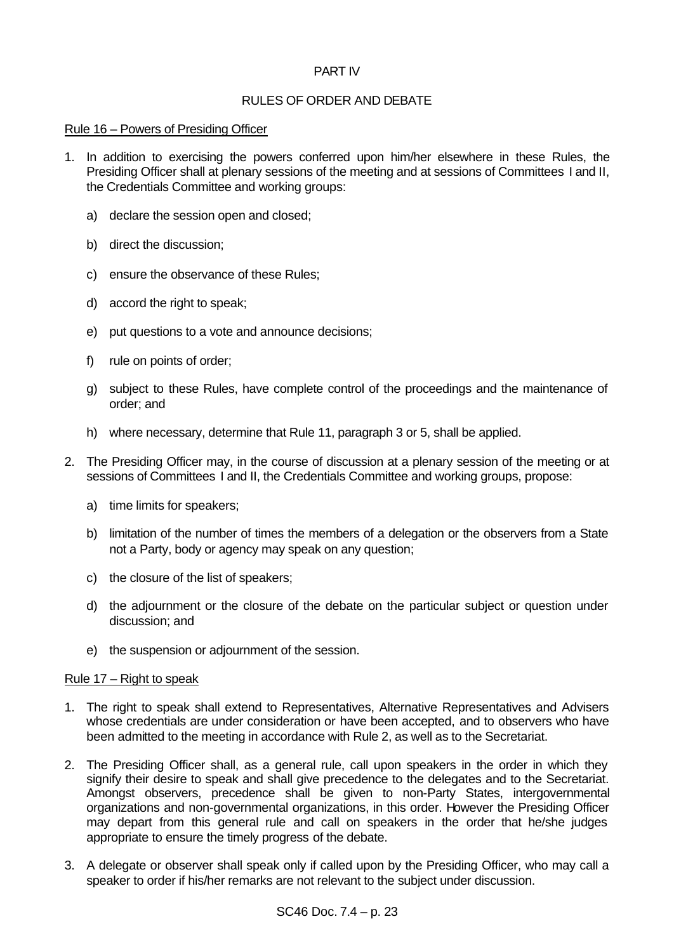# PART IV

# RULES OF ORDER AND DEBATE

#### Rule 16 – Powers of Presiding Officer

- 1. In addition to exercising the powers conferred upon him/her elsewhere in these Rules, the Presiding Officer shall at plenary sessions of the meeting and at sessions of Committees I and II, the Credentials Committee and working groups:
	- a) declare the session open and closed;
	- b) direct the discussion;
	- c) ensure the observance of these Rules;
	- d) accord the right to speak;
	- e) put questions to a vote and announce decisions;
	- f) rule on points of order;
	- g) subject to these Rules, have complete control of the proceedings and the maintenance of order; and
	- h) where necessary, determine that Rule 11, paragraph 3 or 5, shall be applied.
- 2. The Presiding Officer may, in the course of discussion at a plenary session of the meeting or at sessions of Committees I and II, the Credentials Committee and working groups, propose:
	- a) time limits for speakers;
	- b) limitation of the number of times the members of a delegation or the observers from a State not a Party, body or agency may speak on any question;
	- c) the closure of the list of speakers;
	- d) the adjournment or the closure of the debate on the particular subject or question under discussion; and
	- e) the suspension or adjournment of the session.

# Rule 17 – Right to speak

- 1. The right to speak shall extend to Representatives, Alternative Representatives and Advisers whose credentials are under consideration or have been accepted, and to observers who have been admitted to the meeting in accordance with Rule 2, as well as to the Secretariat.
- 2. The Presiding Officer shall, as a general rule, call upon speakers in the order in which they signify their desire to speak and shall give precedence to the delegates and to the Secretariat. Amongst observers, precedence shall be given to non-Party States, intergovernmental organizations and non-governmental organizations, in this order. However the Presiding Officer may depart from this general rule and call on speakers in the order that he/she judges appropriate to ensure the timely progress of the debate.
- 3. A delegate or observer shall speak only if called upon by the Presiding Officer, who may call a speaker to order if his/her remarks are not relevant to the subject under discussion.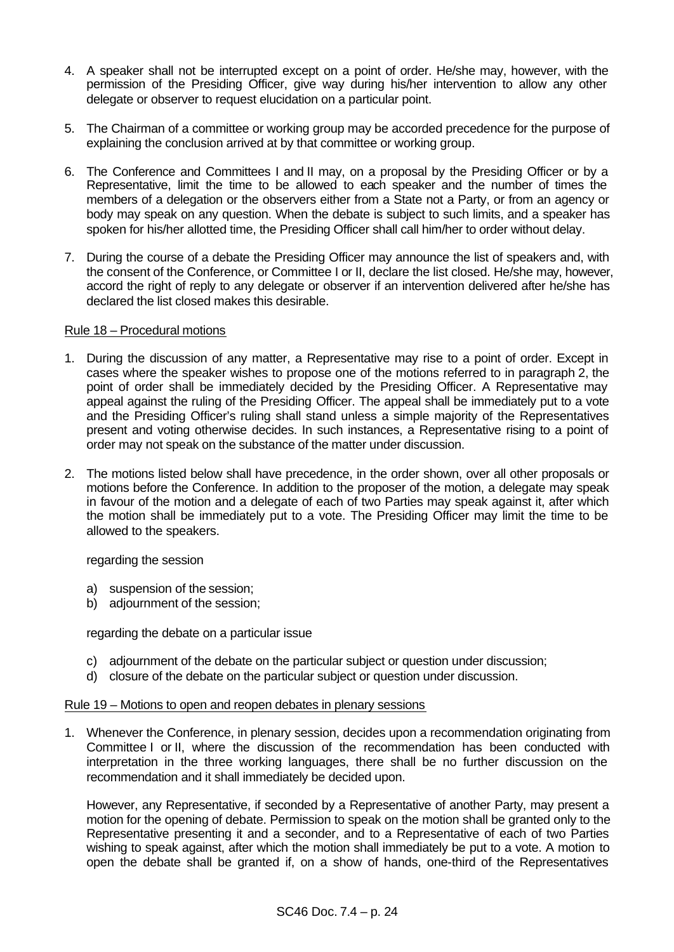- 4. A speaker shall not be interrupted except on a point of order. He/she may, however, with the permission of the Presiding Officer, give way during his/her intervention to allow any other delegate or observer to request elucidation on a particular point.
- 5. The Chairman of a committee or working group may be accorded precedence for the purpose of explaining the conclusion arrived at by that committee or working group.
- 6. The Conference and Committees I and II may, on a proposal by the Presiding Officer or by a Representative, limit the time to be allowed to each speaker and the number of times the members of a delegation or the observers either from a State not a Party, or from an agency or body may speak on any question. When the debate is subject to such limits, and a speaker has spoken for his/her allotted time, the Presiding Officer shall call him/her to order without delay.
- 7. During the course of a debate the Presiding Officer may announce the list of speakers and, with the consent of the Conference, or Committee I or II, declare the list closed. He/she may, however, accord the right of reply to any delegate or observer if an intervention delivered after he/she has declared the list closed makes this desirable.

#### Rule 18 – Procedural motions

- 1. During the discussion of any matter, a Representative may rise to a point of order. Except in cases where the speaker wishes to propose one of the motions referred to in paragraph 2, the point of order shall be immediately decided by the Presiding Officer. A Representative may appeal against the ruling of the Presiding Officer. The appeal shall be immediately put to a vote and the Presiding Officer's ruling shall stand unless a simple majority of the Representatives present and voting otherwise decides. In such instances, a Representative rising to a point of order may not speak on the substance of the matter under discussion.
- 2. The motions listed below shall have precedence, in the order shown, over all other proposals or motions before the Conference. In addition to the proposer of the motion, a delegate may speak in favour of the motion and a delegate of each of two Parties may speak against it, after which the motion shall be immediately put to a vote. The Presiding Officer may limit the time to be allowed to the speakers.

regarding the session

- a) suspension of the session;
- b) adjournment of the session;

regarding the debate on a particular issue

- c) adjournment of the debate on the particular subject or question under discussion;
- d) closure of the debate on the particular subject or question under discussion.

# Rule 19 – Motions to open and reopen debates in plenary sessions

1. Whenever the Conference, in plenary session, decides upon a recommendation originating from Committee I or II, where the discussion of the recommendation has been conducted with interpretation in the three working languages, there shall be no further discussion on the recommendation and it shall immediately be decided upon.

However, any Representative, if seconded by a Representative of another Party, may present a motion for the opening of debate. Permission to speak on the motion shall be granted only to the Representative presenting it and a seconder, and to a Representative of each of two Parties wishing to speak against, after which the motion shall immediately be put to a vote. A motion to open the debate shall be granted if, on a show of hands, one-third of the Representatives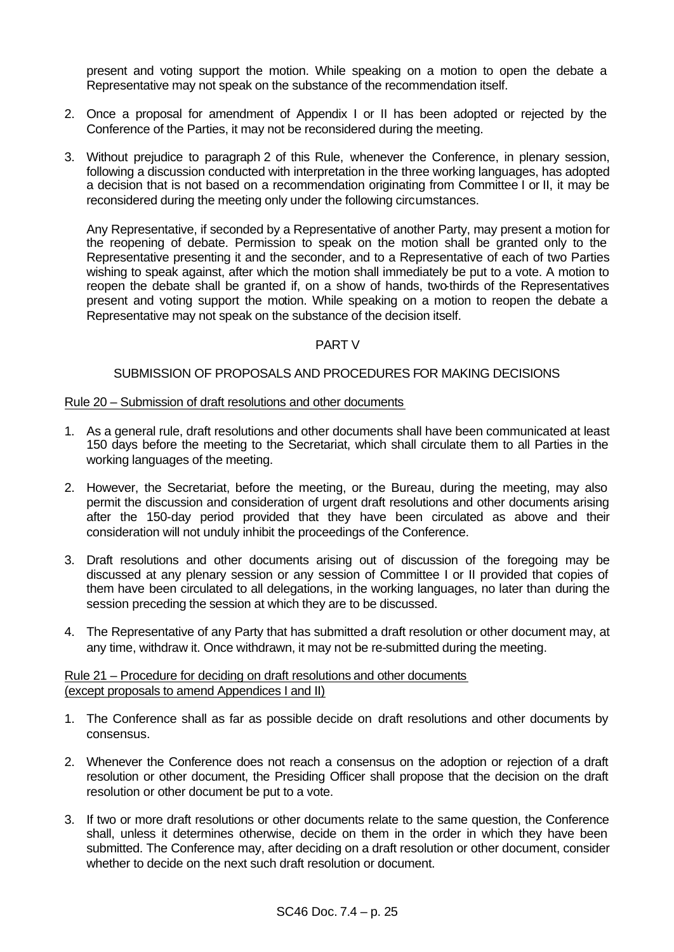present and voting support the motion. While speaking on a motion to open the debate a Representative may not speak on the substance of the recommendation itself.

- 2. Once a proposal for amendment of Appendix I or II has been adopted or rejected by the Conference of the Parties, it may not be reconsidered during the meeting.
- 3. Without prejudice to paragraph 2 of this Rule, whenever the Conference, in plenary session, following a discussion conducted with interpretation in the three working languages, has adopted a decision that is not based on a recommendation originating from Committee I or II, it may be reconsidered during the meeting only under the following circumstances.

Any Representative, if seconded by a Representative of another Party, may present a motion for the reopening of debate. Permission to speak on the motion shall be granted only to the Representative presenting it and the seconder, and to a Representative of each of two Parties wishing to speak against, after which the motion shall immediately be put to a vote. A motion to reopen the debate shall be granted if, on a show of hands, two-thirds of the Representatives present and voting support the motion. While speaking on a motion to reopen the debate a Representative may not speak on the substance of the decision itself.

# PART V

#### SUBMISSION OF PROPOSALS AND PROCEDURES FOR MAKING DECISIONS

#### Rule 20 – Submission of draft resolutions and other documents

- 1. As a general rule, draft resolutions and other documents shall have been communicated at least 150 days before the meeting to the Secretariat, which shall circulate them to all Parties in the working languages of the meeting.
- 2. However, the Secretariat, before the meeting, or the Bureau, during the meeting, may also permit the discussion and consideration of urgent draft resolutions and other documents arising after the 150-day period provided that they have been circulated as above and their consideration will not unduly inhibit the proceedings of the Conference.
- 3. Draft resolutions and other documents arising out of discussion of the foregoing may be discussed at any plenary session or any session of Committee I or II provided that copies of them have been circulated to all delegations, in the working languages, no later than during the session preceding the session at which they are to be discussed.
- 4. The Representative of any Party that has submitted a draft resolution or other document may, at any time, withdraw it. Once withdrawn, it may not be re-submitted during the meeting.

# Rule 21 – Procedure for deciding on draft resolutions and other documents (except proposals to amend Appendices I and II)

- 1. The Conference shall as far as possible decide on draft resolutions and other documents by consensus.
- 2. Whenever the Conference does not reach a consensus on the adoption or rejection of a draft resolution or other document, the Presiding Officer shall propose that the decision on the draft resolution or other document be put to a vote.
- 3. If two or more draft resolutions or other documents relate to the same question, the Conference shall, unless it determines otherwise, decide on them in the order in which they have been submitted. The Conference may, after deciding on a draft resolution or other document, consider whether to decide on the next such draft resolution or document.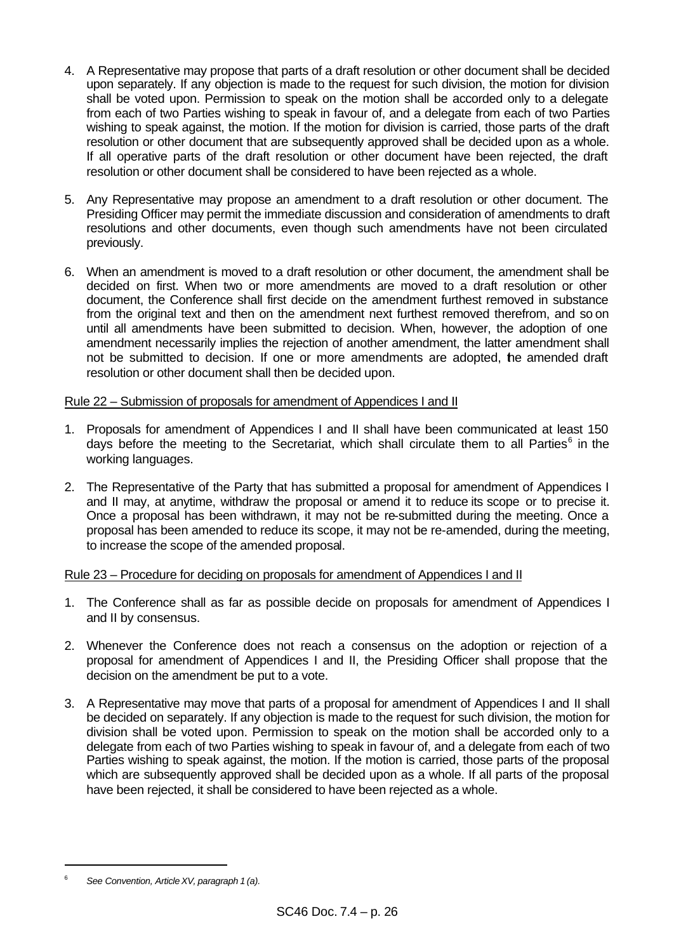- 4. A Representative may propose that parts of a draft resolution or other document shall be decided upon separately. If any objection is made to the request for such division, the motion for division shall be voted upon. Permission to speak on the motion shall be accorded only to a delegate from each of two Parties wishing to speak in favour of, and a delegate from each of two Parties wishing to speak against, the motion. If the motion for division is carried, those parts of the draft resolution or other document that are subsequently approved shall be decided upon as a whole. If all operative parts of the draft resolution or other document have been rejected, the draft resolution or other document shall be considered to have been rejected as a whole.
- 5. Any Representative may propose an amendment to a draft resolution or other document. The Presiding Officer may permit the immediate discussion and consideration of amendments to draft resolutions and other documents, even though such amendments have not been circulated previously.
- 6. When an amendment is moved to a draft resolution or other document, the amendment shall be decided on first. When two or more amendments are moved to a draft resolution or other document, the Conference shall first decide on the amendment furthest removed in substance from the original text and then on the amendment next furthest removed therefrom, and so on until all amendments have been submitted to decision. When, however, the adoption of one amendment necessarily implies the rejection of another amendment, the latter amendment shall not be submitted to decision. If one or more amendments are adopted, the amended draft resolution or other document shall then be decided upon.

# Rule 22 – Submission of proposals for amendment of Appendices I and II

- 1. Proposals for amendment of Appendices I and II shall have been communicated at least 150 days before the meeting to the Secretariat, which shall circulate them to all Parties $6$  in the working languages.
- 2. The Representative of the Party that has submitted a proposal for amendment of Appendices I and II may, at anytime, withdraw the proposal or amend it to reduce its scope or to precise it. Once a proposal has been withdrawn, it may not be re-submitted during the meeting. Once a proposal has been amended to reduce its scope, it may not be re-amended, during the meeting, to increase the scope of the amended proposal.

# Rule 23 – Procedure for deciding on proposals for amendment of Appendices I and II

- 1. The Conference shall as far as possible decide on proposals for amendment of Appendices I and II by consensus.
- 2. Whenever the Conference does not reach a consensus on the adoption or rejection of a proposal for amendment of Appendices I and II, the Presiding Officer shall propose that the decision on the amendment be put to a vote.
- 3. A Representative may move that parts of a proposal for amendment of Appendices I and II shall be decided on separately. If any objection is made to the request for such division, the motion for division shall be voted upon. Permission to speak on the motion shall be accorded only to a delegate from each of two Parties wishing to speak in favour of, and a delegate from each of two Parties wishing to speak against, the motion. If the motion is carried, those parts of the proposal which are subsequently approved shall be decided upon as a whole. If all parts of the proposal have been rejected, it shall be considered to have been rejected as a whole.

<sup>6</sup> *See Convention, ArticleXV, paragraph 1 (a).*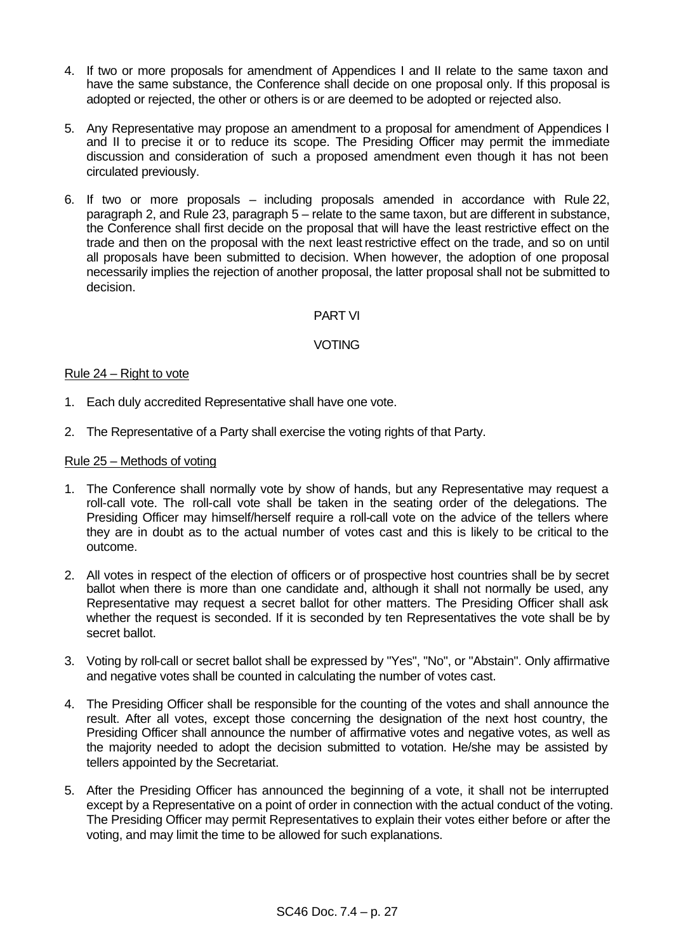- 4. If two or more proposals for amendment of Appendices I and II relate to the same taxon and have the same substance, the Conference shall decide on one proposal only. If this proposal is adopted or rejected, the other or others is or are deemed to be adopted or rejected also.
- 5. Any Representative may propose an amendment to a proposal for amendment of Appendices I and II to precise it or to reduce its scope. The Presiding Officer may permit the immediate discussion and consideration of such a proposed amendment even though it has not been circulated previously.
- 6. If two or more proposals including proposals amended in accordance with Rule 22, paragraph 2, and Rule 23, paragraph 5 – relate to the same taxon, but are different in substance, the Conference shall first decide on the proposal that will have the least restrictive effect on the trade and then on the proposal with the next least restrictive effect on the trade, and so on until all proposals have been submitted to decision. When however, the adoption of one proposal necessarily implies the rejection of another proposal, the latter proposal shall not be submitted to decision.

#### PART VI

# VOTING

#### Rule 24 – Right to vote

- 1. Each duly accredited Representative shall have one vote.
- 2. The Representative of a Party shall exercise the voting rights of that Party.

#### Rule 25 – Methods of voting

- 1. The Conference shall normally vote by show of hands, but any Representative may request a roll-call vote. The roll-call vote shall be taken in the seating order of the delegations. The Presiding Officer may himself/herself require a roll-call vote on the advice of the tellers where they are in doubt as to the actual number of votes cast and this is likely to be critical to the outcome.
- 2. All votes in respect of the election of officers or of prospective host countries shall be by secret ballot when there is more than one candidate and, although it shall not normally be used, any Representative may request a secret ballot for other matters. The Presiding Officer shall ask whether the request is seconded. If it is seconded by ten Representatives the vote shall be by secret ballot.
- 3. Voting by roll-call or secret ballot shall be expressed by "Yes", "No", or "Abstain". Only affirmative and negative votes shall be counted in calculating the number of votes cast.
- 4. The Presiding Officer shall be responsible for the counting of the votes and shall announce the result. After all votes, except those concerning the designation of the next host country, the Presiding Officer shall announce the number of affirmative votes and negative votes, as well as the majority needed to adopt the decision submitted to votation. He/she may be assisted by tellers appointed by the Secretariat.
- 5. After the Presiding Officer has announced the beginning of a vote, it shall not be interrupted except by a Representative on a point of order in connection with the actual conduct of the voting. The Presiding Officer may permit Representatives to explain their votes either before or after the voting, and may limit the time to be allowed for such explanations.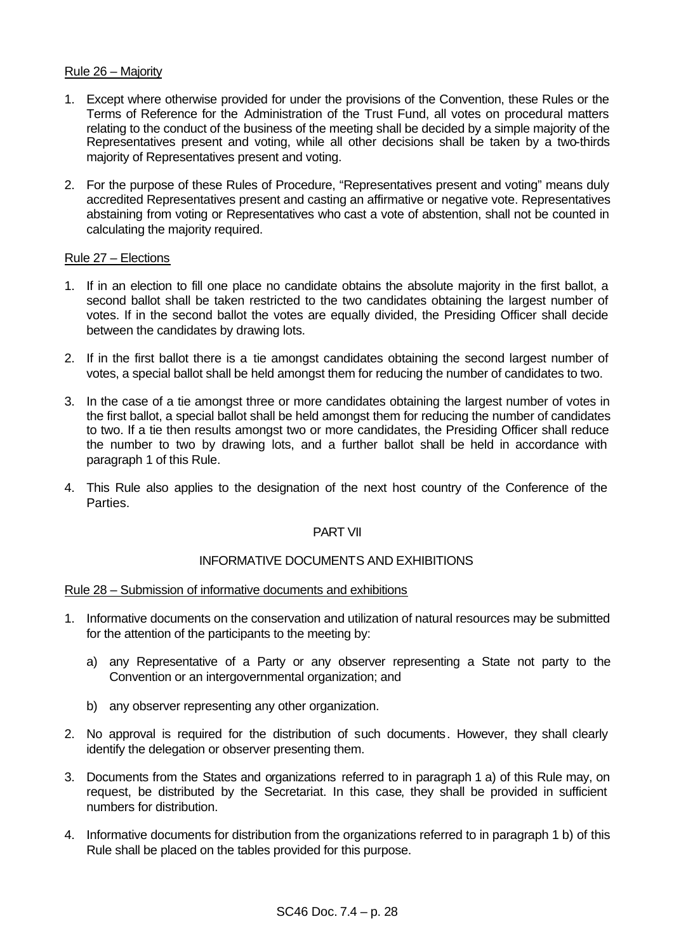## Rule 26 – Majority

- 1. Except where otherwise provided for under the provisions of the Convention, these Rules or the Terms of Reference for the Administration of the Trust Fund, all votes on procedural matters relating to the conduct of the business of the meeting shall be decided by a simple majority of the Representatives present and voting, while all other decisions shall be taken by a two-thirds majority of Representatives present and voting.
- 2. For the purpose of these Rules of Procedure, "Representatives present and voting" means duly accredited Representatives present and casting an affirmative or negative vote. Representatives abstaining from voting or Representatives who cast a vote of abstention, shall not be counted in calculating the majority required.

#### Rule 27 – Elections

- 1. If in an election to fill one place no candidate obtains the absolute majority in the first ballot, a second ballot shall be taken restricted to the two candidates obtaining the largest number of votes. If in the second ballot the votes are equally divided, the Presiding Officer shall decide between the candidates by drawing lots.
- 2. If in the first ballot there is a tie amongst candidates obtaining the second largest number of votes, a special ballot shall be held amongst them for reducing the number of candidates to two.
- 3. In the case of a tie amongst three or more candidates obtaining the largest number of votes in the first ballot, a special ballot shall be held amongst them for reducing the number of candidates to two. If a tie then results amongst two or more candidates, the Presiding Officer shall reduce the number to two by drawing lots, and a further ballot shall be held in accordance with paragraph 1 of this Rule.
- 4. This Rule also applies to the designation of the next host country of the Conference of the Parties.

# PART VII

# INFORMATIVE DOCUMENTS AND EXHIBITIONS

#### Rule 28 – Submission of informative documents and exhibitions

- 1. Informative documents on the conservation and utilization of natural resources may be submitted for the attention of the participants to the meeting by:
	- a) any Representative of a Party or any observer representing a State not party to the Convention or an intergovernmental organization; and
	- b) any observer representing any other organization.
- 2. No approval is required for the distribution of such documents. However, they shall clearly identify the delegation or observer presenting them.
- 3. Documents from the States and organizations referred to in paragraph 1 a) of this Rule may, on request, be distributed by the Secretariat. In this case, they shall be provided in sufficient numbers for distribution.
- 4. Informative documents for distribution from the organizations referred to in paragraph 1 b) of this Rule shall be placed on the tables provided for this purpose.